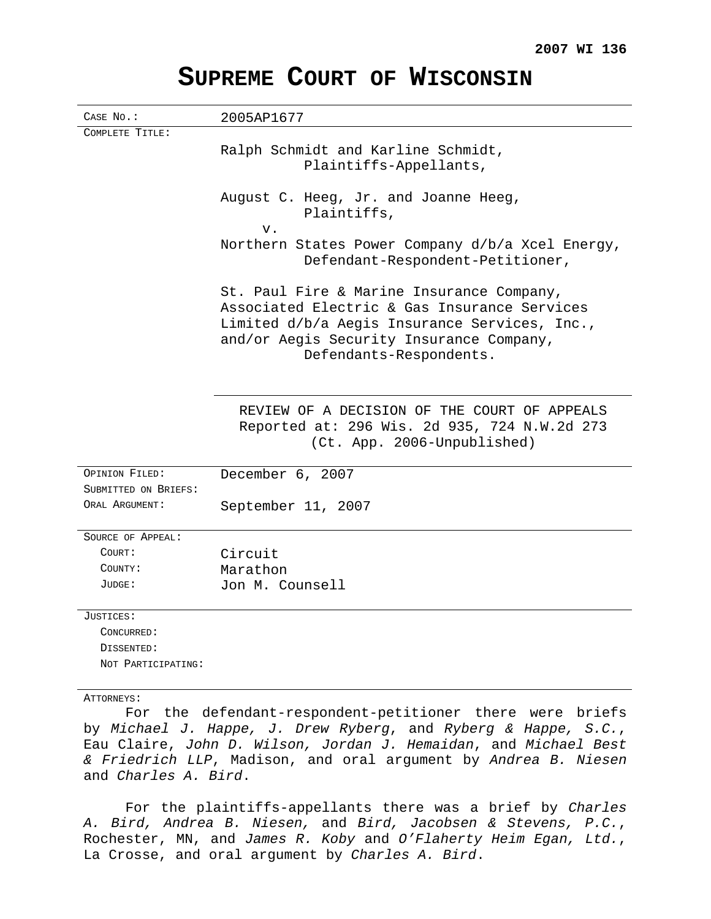| CASE NO.:                              | 2005AP1677                                                                                                                                                                                                        |
|----------------------------------------|-------------------------------------------------------------------------------------------------------------------------------------------------------------------------------------------------------------------|
| COMPLETE TITLE:                        |                                                                                                                                                                                                                   |
|                                        | Ralph Schmidt and Karline Schmidt,<br>Plaintiffs-Appellants,                                                                                                                                                      |
|                                        | August C. Heeg, Jr. and Joanne Heeg,<br>Plaintiffs,<br>$V$ .                                                                                                                                                      |
|                                        | Northern States Power Company d/b/a Xcel Energy,<br>Defendant-Respondent-Petitioner,                                                                                                                              |
|                                        | St. Paul Fire & Marine Insurance Company,<br>Associated Electric & Gas Insurance Services<br>Limited d/b/a Aegis Insurance Services, Inc.,<br>and/or Aegis Security Insurance Company,<br>Defendants-Respondents. |
|                                        | REVIEW OF A DECISION OF THE COURT OF APPEALS<br>Reported at: 296 Wis. 2d 935, 724 N.W.2d 273<br>(Ct. App. 2006-Unpublished)                                                                                       |
| OPINION FILED:<br>SUBMITTED ON BRIEFS: | December 6, 2007                                                                                                                                                                                                  |
| ORAL ARGUMENT:                         | September 11, 2007                                                                                                                                                                                                |
| SOURCE OF APPEAL:                      |                                                                                                                                                                                                                   |
| COURT:                                 | Circuit                                                                                                                                                                                                           |
| COUNTY:                                | Marathon                                                                                                                                                                                                          |
| JUDGE:                                 | Jon M. Counsell                                                                                                                                                                                                   |
| JUSTICES:                              |                                                                                                                                                                                                                   |
| CONCURRED:                             |                                                                                                                                                                                                                   |
| DISSENTED:                             |                                                                                                                                                                                                                   |
| NOT PARTICIPATING:                     |                                                                                                                                                                                                                   |
| ATTORNEYS:                             |                                                                                                                                                                                                                   |

## **SUPREME COURT OF WISCONSIN**

For the defendant-respondent-petitioner there were briefs by Michael J. Happe, J. Drew Ryberg, and Ryberg & Happe, S.C., Eau Claire, John D. Wilson, Jordan J. Hemaidan, and Michael Best & Friedrich LLP, Madison, and oral argument by Andrea B. Niesen and Charles A. Bird.

For the plaintiffs-appellants there was a brief by Charles A. Bird, Andrea B. Niesen, and Bird, Jacobsen & Stevens, P.C., Rochester, MN, and James R. Koby and O'Flaherty Heim Egan, Ltd., La Crosse, and oral argument by Charles A. Bird.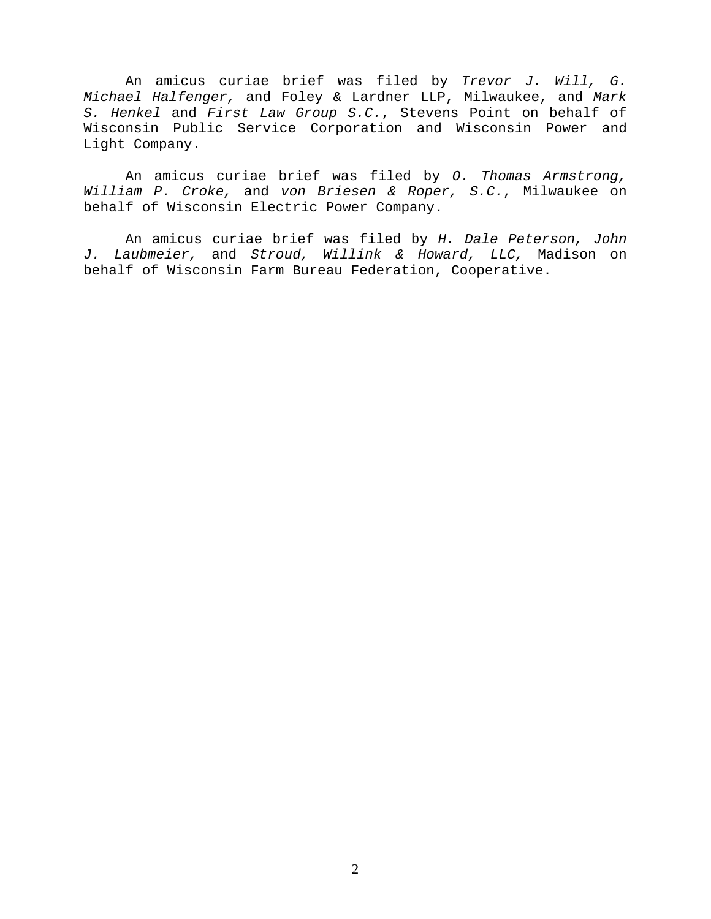An amicus curiae brief was filed by Trevor J. Will, G. Michael Halfenger, and Foley & Lardner LLP, Milwaukee, and Mark S. Henkel and First Law Group S.C., Stevens Point on behalf of Wisconsin Public Service Corporation and Wisconsin Power and Light Company.

An amicus curiae brief was filed by O. Thomas Armstrong, William P. Croke, and von Briesen & Roper, S.C., Milwaukee on behalf of Wisconsin Electric Power Company.

An amicus curiae brief was filed by H. Dale Peterson, John J. Laubmeier, and Stroud, Willink & Howard, LLC, Madison on behalf of Wisconsin Farm Bureau Federation, Cooperative.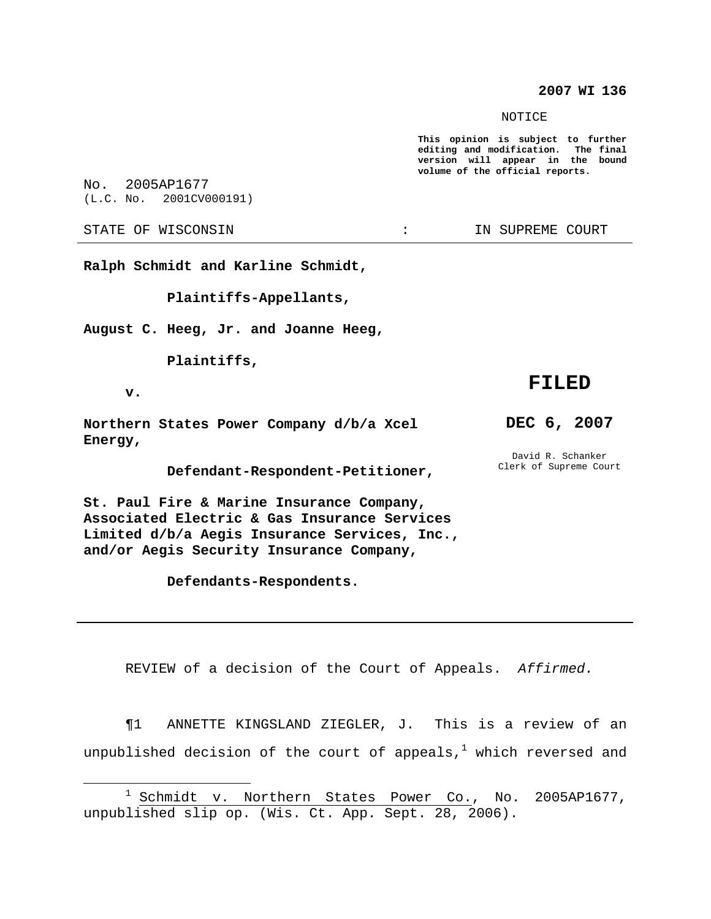## **2007 WI 136**

NOTICE

**This opinion is subject to further editing and modification. The final version will appear in the bound volume of the official reports.**

No. 2005AP1677 (L.C. No. 2001CV000191)

STATE OF WISCONSIN THE RESERVE STATE OF WISCONSIN STATE OF THE SUPREME COURT

**Ralph Schmidt and Karline Schmidt,**

**Plaintiffs-Appellants,**

**August C. Heeg, Jr. and Joanne Heeg,**

**Plaintiffs,**

**v.**

**Northern States Power Company d/b/a Xcel Energy,**

**Defendant-Respondent-Petitioner,**

**St. Paul Fire & Marine Insurance Company, Associated Electric & Gas Insurance Services Limited d/b/a Aegis Insurance Services, Inc., and/or Aegis Security Insurance Company,**

**Defendants-Respondents.**

**DEC 6, 2007**

**FILED**

David R. Schanker Clerk of Supreme Court

REVIEW of a decision of the Court of Appeals. Affirmed.

¶1 ANNETTE KINGSLAND ZIEGLER, J. This is a review of an unpublished decision of the court of appeals, $^1$  which reversed and

<sup>&</sup>lt;sup>1</sup> Schmidt v. Northern States Power Co., No. 2005AP1677, unpublished slip op. (Wis. Ct. App. Sept. 28, 2006).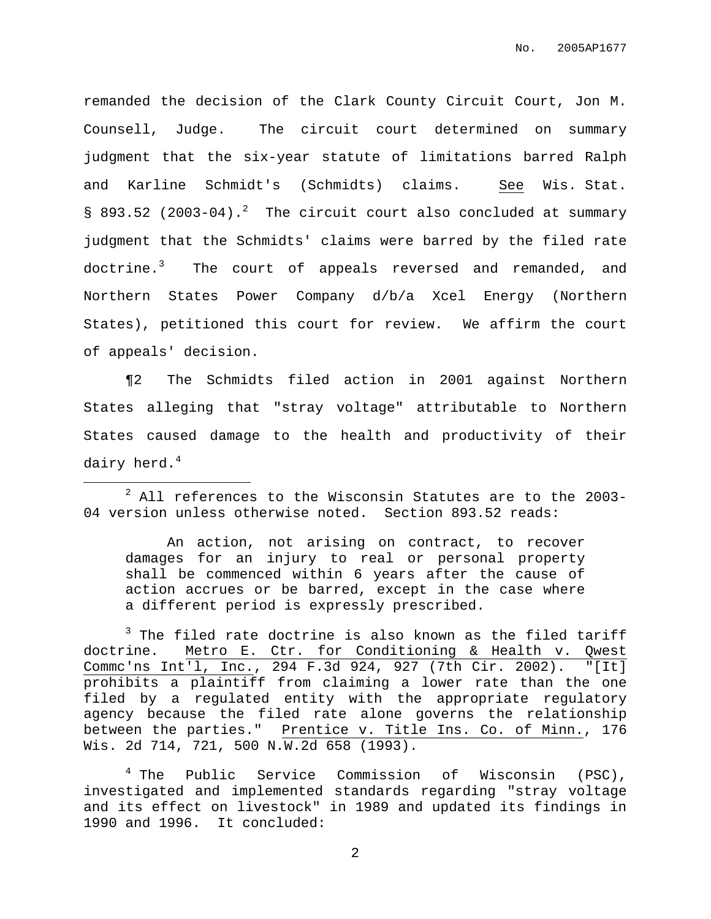remanded the decision of the Clark County Circuit Court, Jon M. Counsell, Judge. The circuit court determined on summary judgment that the six-year statute of limitations barred Ralph and Karline Schmidt's (Schmidts) claims. See Wis. Stat. § 893.52 (2003-04).<sup>2</sup> The circuit court also concluded at summary judgment that the Schmidts' claims were barred by the filed rate doctrine.<sup>3</sup> The court of appeals reversed and remanded, and Northern States Power Company d/b/a Xcel Energy (Northern States), petitioned this court for review. We affirm the court of appeals' decision.

¶2 The Schmidts filed action in 2001 against Northern States alleging that "stray voltage" attributable to Northern States caused damage to the health and productivity of their dairy herd. $^4$ 

An action, not arising on contract, to recover damages for an injury to real or personal property shall be commenced within 6 years after the cause of action accrues or be barred, except in the case where a different period is expressly prescribed.

 $3$  The filed rate doctrine is also known as the filed tariff doctrine. Metro E. Ctr. for Conditioning & Health v. Qwest Commc'ns Int'l, Inc., 294 F.3d 924, 927 (7th Cir. 2002). "[It] prohibits a plaintiff from claiming a lower rate than the one filed by a regulated entity with the appropriate regulatory agency because the filed rate alone governs the relationship between the parties." Prentice v. Title Ins. Co. of Minn., 176 Wis. 2d 714, 721, 500 N.W.2d 658 (1993).

 $2$  All references to the Wisconsin Statutes are to the 2003-04 version unless otherwise noted. Section 893.52 reads:

<sup>&</sup>lt;sup>4</sup> The Public Service Commission of Wisconsin (PSC), investigated and implemented standards regarding "stray voltage and its effect on livestock" in 1989 and updated its findings in 1990 and 1996. It concluded: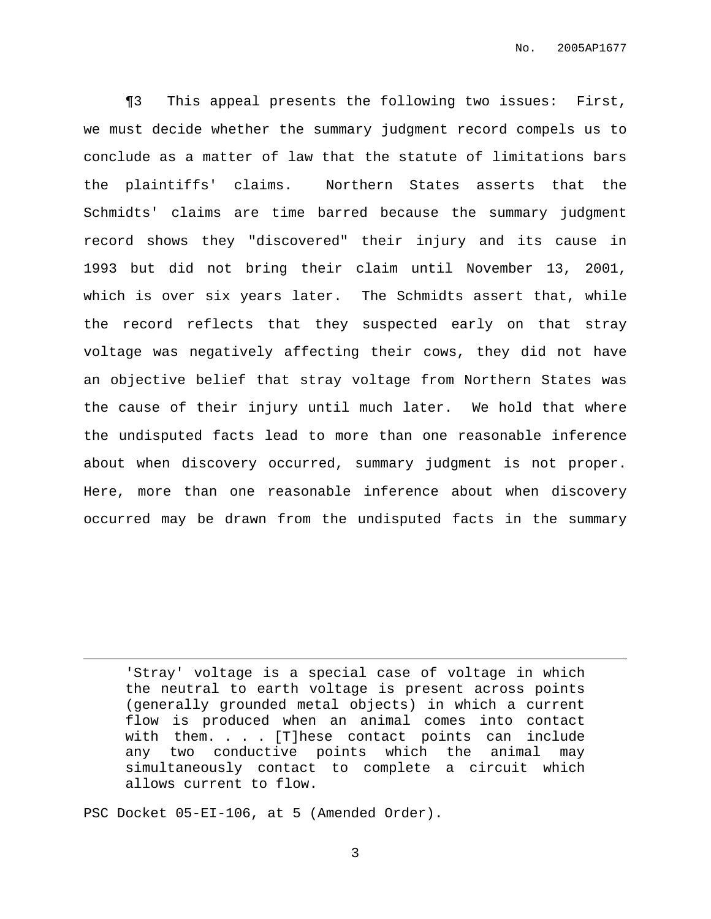¶3 This appeal presents the following two issues: First, we must decide whether the summary judgment record compels us to conclude as a matter of law that the statute of limitations bars the plaintiffs' claims. Northern States asserts that the Schmidts' claims are time barred because the summary judgment record shows they "discovered" their injury and its cause in 1993 but did not bring their claim until November 13, 2001, which is over six years later. The Schmidts assert that, while the record reflects that they suspected early on that stray voltage was negatively affecting their cows, they did not have an objective belief that stray voltage from Northern States was the cause of their injury until much later. We hold that where the undisputed facts lead to more than one reasonable inference about when discovery occurred, summary judgment is not proper. Here, more than one reasonable inference about when discovery occurred may be drawn from the undisputed facts in the summary

'Stray' voltage is a special case of voltage in which the neutral to earth voltage is present across points (generally grounded metal objects) in which a current flow is produced when an animal comes into contact with them. . . . [T]hese contact points can include any two conductive points which the animal may simultaneously contact to complete a circuit which allows current to flow.

PSC Docket 05-EI-106, at 5 (Amended Order).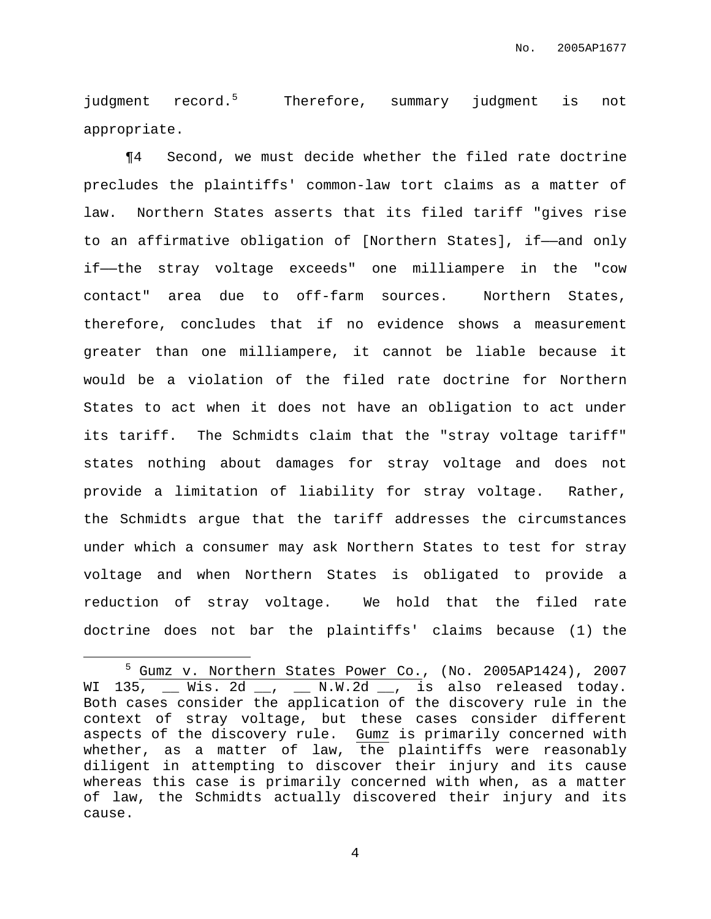judgment record.<sup>5</sup> Therefore, summary judgment is not appropriate.

¶4 Second, we must decide whether the filed rate doctrine precludes the plaintiffs' common-law tort claims as a matter of law. Northern States asserts that its filed tariff "gives rise to an affirmative obligation of [Northern States], if——and only if——the stray voltage exceeds" one milliampere in the "cow contact" area due to off-farm sources. Northern States, therefore, concludes that if no evidence shows a measurement greater than one milliampere, it cannot be liable because it would be a violation of the filed rate doctrine for Northern States to act when it does not have an obligation to act under its tariff. The Schmidts claim that the "stray voltage tariff" states nothing about damages for stray voltage and does not provide a limitation of liability for stray voltage. Rather, the Schmidts argue that the tariff addresses the circumstances under which a consumer may ask Northern States to test for stray voltage and when Northern States is obligated to provide a reduction of stray voltage. We hold that the filed rate doctrine does not bar the plaintiffs' claims because (1) the

<sup>5</sup> Gumz v. Northern States Power Co., (No. 2005AP1424), 2007 WI 135,  $\_\_$  Wis. 2d  $\_\_$ ,  $\_\_$  N.W.2d  $\_\_$ , is also released today. Both cases consider the application of the discovery rule in the context of stray voltage, but these cases consider different aspects of the discovery rule. Gumz is primarily concerned with whether, as a matter of law, the plaintiffs were reasonably diligent in attempting to discover their injury and its cause whereas this case is primarily concerned with when, as a matter of law, the Schmidts actually discovered their injury and its cause.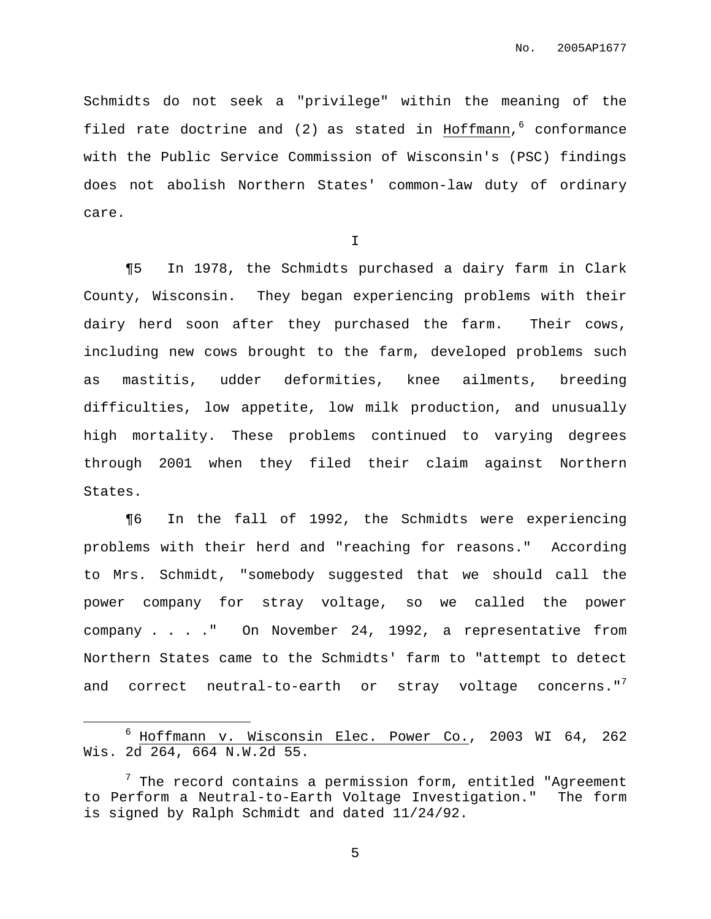Schmidts do not seek a "privilege" within the meaning of the filed rate doctrine and (2) as stated in Hoffmann, <sup>6</sup> conformance with the Public Service Commission of Wisconsin's (PSC) findings does not abolish Northern States' common-law duty of ordinary care.

I

¶5 In 1978, the Schmidts purchased a dairy farm in Clark County, Wisconsin. They began experiencing problems with their dairy herd soon after they purchased the farm. Their cows, including new cows brought to the farm, developed problems such as mastitis, udder deformities, knee ailments, breeding difficulties, low appetite, low milk production, and unusually high mortality. These problems continued to varying degrees through 2001 when they filed their claim against Northern States.

¶6 In the fall of 1992, the Schmidts were experiencing problems with their herd and "reaching for reasons." According to Mrs. Schmidt, "somebody suggested that we should call the power company for stray voltage, so we called the power company . . . ." On November 24, 1992, a representative from Northern States came to the Schmidts' farm to "attempt to detect and correct neutral-to-earth or stray voltage concerns." $^7$ 

<sup>6</sup> Hoffmann v. Wisconsin Elec. Power Co., 2003 WI 64, 262 Wis. 2d 264, 664 N.W.2d 55.

 $7$  The record contains a permission form, entitled "Agreement to Perform a Neutral-to-Earth Voltage Investigation." The form is signed by Ralph Schmidt and dated 11/24/92.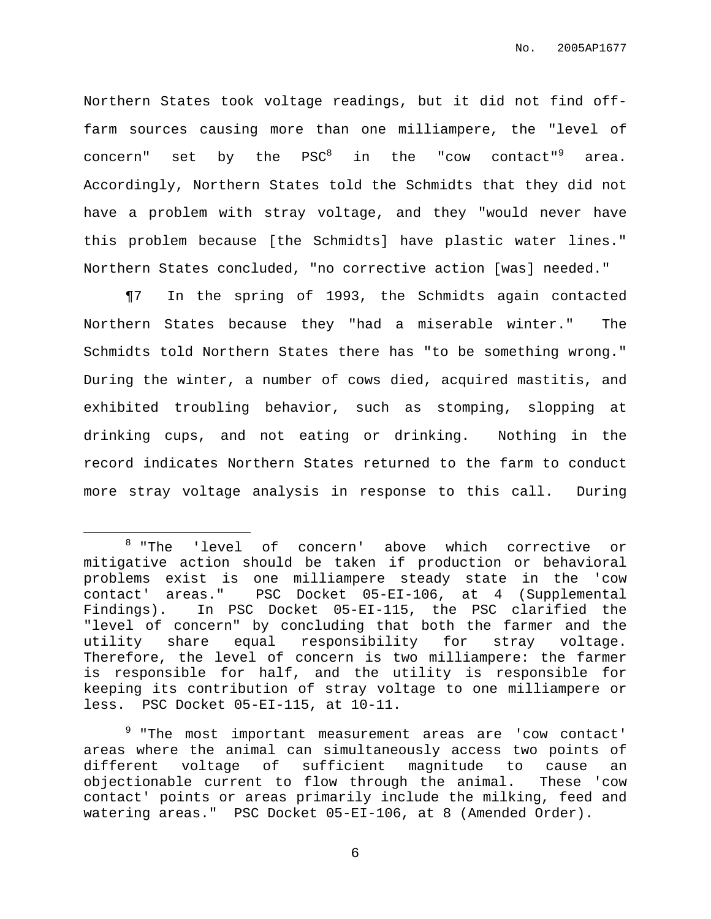Northern States took voltage readings, but it did not find offfarm sources causing more than one milliampere, the "level of concern" set by the PSC<sup>8</sup> in the "cow contact"<sup>9</sup> area. Accordingly, Northern States told the Schmidts that they did not have a problem with stray voltage, and they "would never have this problem because [the Schmidts] have plastic water lines." Northern States concluded, "no corrective action [was] needed."

¶7 In the spring of 1993, the Schmidts again contacted Northern States because they "had a miserable winter." The Schmidts told Northern States there has "to be something wrong." During the winter, a number of cows died, acquired mastitis, and exhibited troubling behavior, such as stomping, slopping at drinking cups, and not eating or drinking. Nothing in the record indicates Northern States returned to the farm to conduct more stray voltage analysis in response to this call. During

<sup>&</sup>lt;sup>8</sup> "The 'level of concern' above which corrective or mitigative action should be taken if production or behavioral problems exist is one milliampere steady state in the 'cow contact' areas." PSC Docket 05-EI-106, at 4 (Supplemental Findings). In PSC Docket 05-EI-115, the PSC clarified the "level of concern" by concluding that both the farmer and the utility share equal responsibility for stray voltage. Therefore, the level of concern is two milliampere: the farmer is responsible for half, and the utility is responsible for keeping its contribution of stray voltage to one milliampere or less. PSC Docket 05-EI-115, at 10-11.

<sup>&</sup>lt;sup>9</sup> "The most important measurement areas are 'cow contact' areas where the animal can simultaneously access two points of different voltage of sufficient magnitude to cause an objectionable current to flow through the animal. These 'cow contact' points or areas primarily include the milking, feed and watering areas." PSC Docket 05-EI-106, at 8 (Amended Order).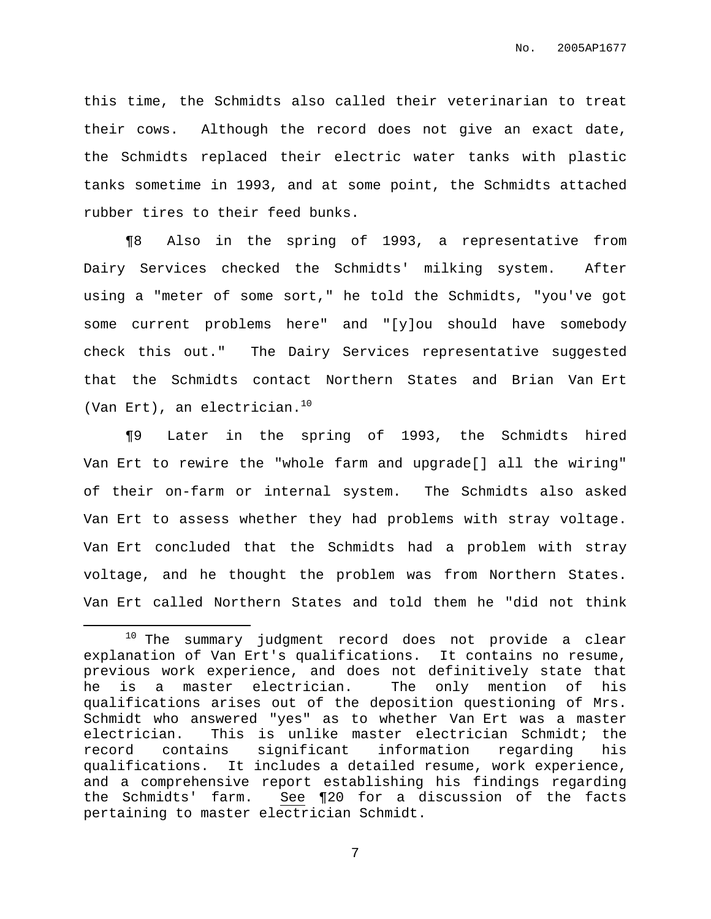this time, the Schmidts also called their veterinarian to treat their cows. Although the record does not give an exact date, the Schmidts replaced their electric water tanks with plastic tanks sometime in 1993, and at some point, the Schmidts attached rubber tires to their feed bunks.

¶8 Also in the spring of 1993, a representative from Dairy Services checked the Schmidts' milking system. After using a "meter of some sort," he told the Schmidts, "you've got some current problems here" and "[y]ou should have somebody check this out." The Dairy Services representative suggested that the Schmidts contact Northern States and Brian Van Ert (Van Ert), an electrician. 10

¶9 Later in the spring of 1993, the Schmidts hired Van Ert to rewire the "whole farm and upgrade[] all the wiring" of their on-farm or internal system. The Schmidts also asked Van Ert to assess whether they had problems with stray voltage. Van Ert concluded that the Schmidts had a problem with stray voltage, and he thought the problem was from Northern States. Van Ert called Northern States and told them he "did not think

<sup>&</sup>lt;sup>10</sup> The summary judgment record does not provide a clear explanation of Van Ert's qualifications. It contains no resume, previous work experience, and does not definitively state that he is a master electrician. The only mention of his qualifications arises out of the deposition questioning of Mrs. Schmidt who answered "yes" as to whether Van Ert was a master electrician. This is unlike master electrician Schmidt; the record contains significant information regarding his qualifications. It includes a detailed resume, work experience, and a comprehensive report establishing his findings regarding the Schmidts' farm. See ¶20 for a discussion of the facts pertaining to master electrician Schmidt.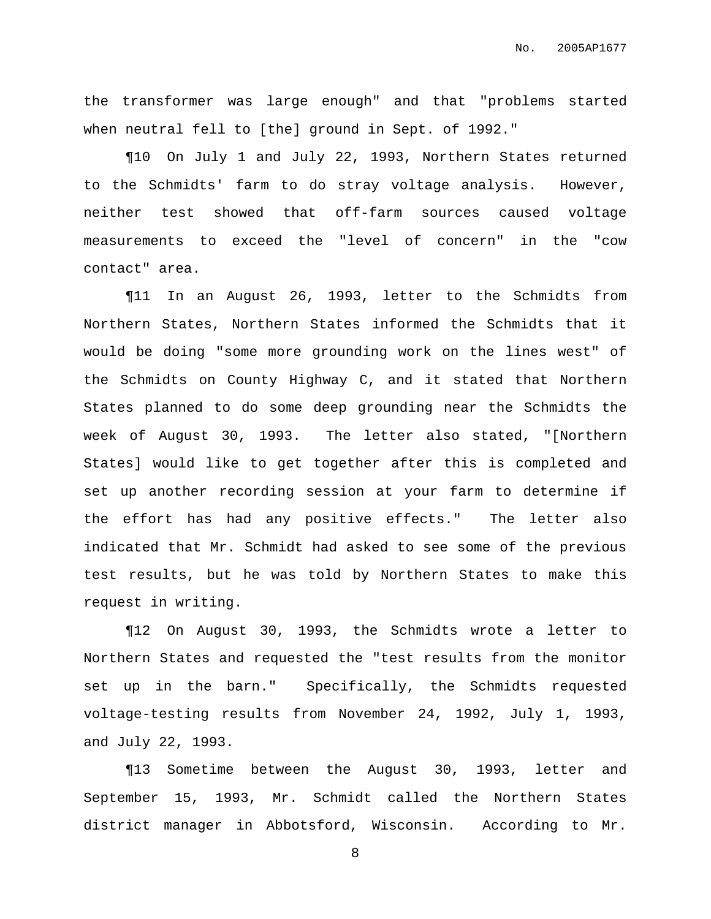the transformer was large enough" and that "problems started when neutral fell to [the] ground in Sept. of 1992."

¶10 On July 1 and July 22, 1993, Northern States returned to the Schmidts' farm to do stray voltage analysis. However, neither test showed that off-farm sources caused voltage measurements to exceed the "level of concern" in the "cow contact" area.

¶11 In an August 26, 1993, letter to the Schmidts from Northern States, Northern States informed the Schmidts that it would be doing "some more grounding work on the lines west" of the Schmidts on County Highway C, and it stated that Northern States planned to do some deep grounding near the Schmidts the week of August 30, 1993. The letter also stated, "[Northern States] would like to get together after this is completed and set up another recording session at your farm to determine if the effort has had any positive effects." The letter also indicated that Mr. Schmidt had asked to see some of the previous test results, but he was told by Northern States to make this request in writing.

¶12 On August 30, 1993, the Schmidts wrote a letter to Northern States and requested the "test results from the monitor set up in the barn." Specifically, the Schmidts requested voltage-testing results from November 24, 1992, July 1, 1993, and July 22, 1993.

¶13 Sometime between the August 30, 1993, letter and September 15, 1993, Mr. Schmidt called the Northern States district manager in Abbotsford, Wisconsin. According to Mr.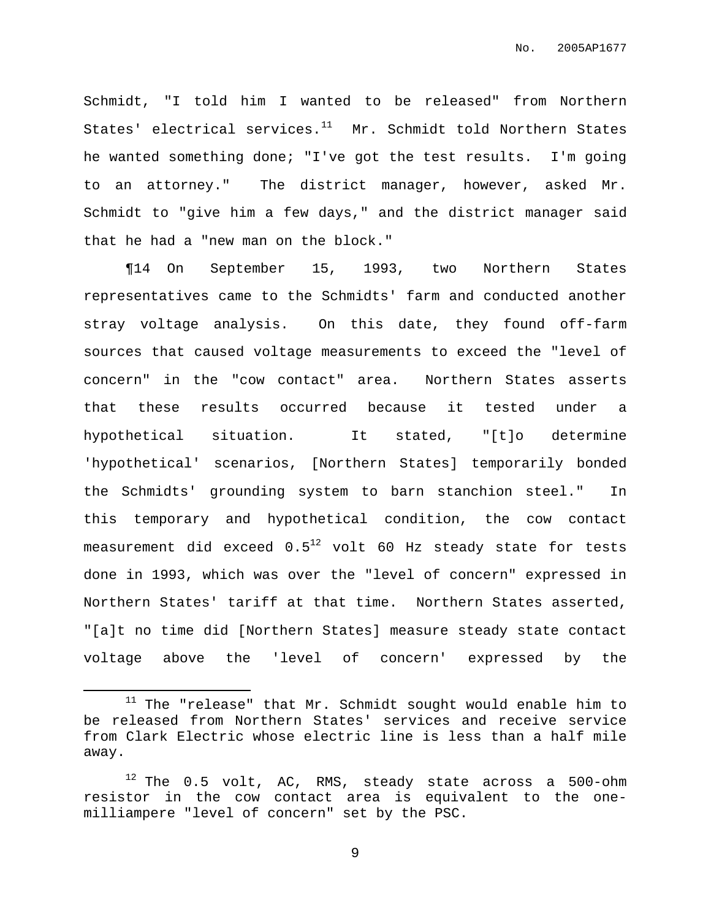Schmidt, "I told him I wanted to be released" from Northern States' electrical services. $^{11}$  Mr. Schmidt told Northern States he wanted something done; "I've got the test results. I'm going to an attorney." The district manager, however, asked Mr. Schmidt to "give him a few days," and the district manager said that he had a "new man on the block."

¶14 On September 15, 1993, two Northern States representatives came to the Schmidts' farm and conducted another stray voltage analysis. On this date, they found off-farm sources that caused voltage measurements to exceed the "level of concern" in the "cow contact" area. Northern States asserts that these results occurred because it tested under a hypothetical situation. It stated, "[t]o determine 'hypothetical' scenarios, [Northern States] temporarily bonded the Schmidts' grounding system to barn stanchion steel." In this temporary and hypothetical condition, the cow contact measurement did exceed  $0.5^{\mathrm{12}}$  volt 60 Hz steady state for tests done in 1993, which was over the "level of concern" expressed in Northern States' tariff at that time. Northern States asserted, "[a]t no time did [Northern States] measure steady state contact voltage above the 'level of concern' expressed by the

 $11$  The "release" that Mr. Schmidt sought would enable him to be released from Northern States' services and receive service from Clark Electric whose electric line is less than a half mile away.

 $12$  The 0.5 volt, AC, RMS, steady state across a 500-ohm resistor in the cow contact area is equivalent to the onemilliampere "level of concern" set by the PSC.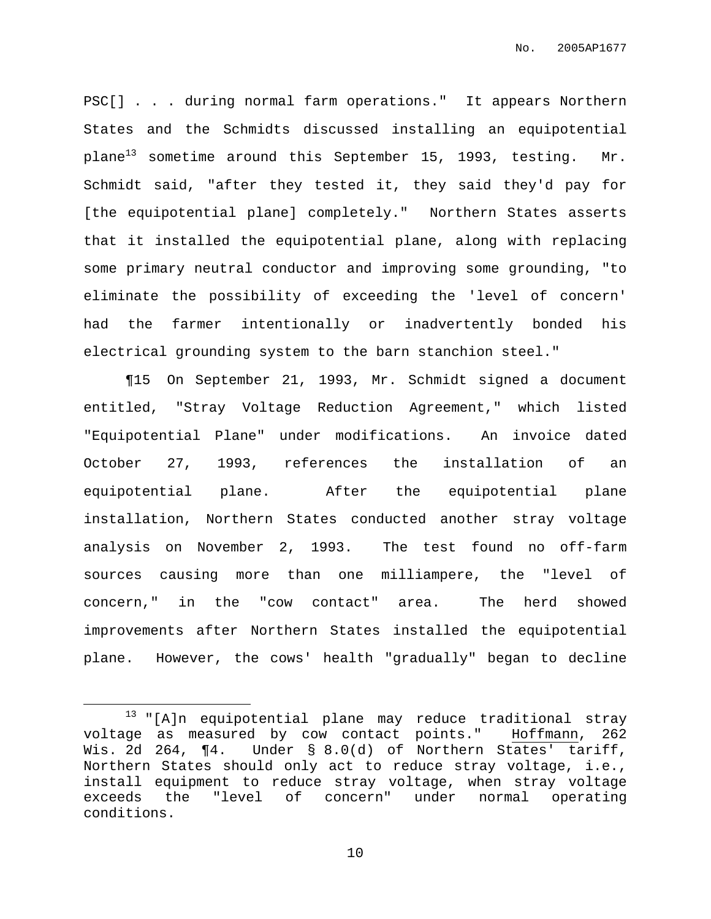PSC[] . . . during normal farm operations." It appears Northern States and the Schmidts discussed installing an equipotential plane<sup>13</sup> sometime around this September 15, 1993, testing. Mr. Schmidt said, "after they tested it, they said they'd pay for [the equipotential plane] completely." Northern States asserts that it installed the equipotential plane, along with replacing some primary neutral conductor and improving some grounding, "to eliminate the possibility of exceeding the 'level of concern' had the farmer intentionally or inadvertently bonded his electrical grounding system to the barn stanchion steel."

¶15 On September 21, 1993, Mr. Schmidt signed a document entitled, "Stray Voltage Reduction Agreement," which listed "Equipotential Plane" under modifications. An invoice dated October 27, 1993, references the installation of an equipotential plane. After the equipotential plane installation, Northern States conducted another stray voltage analysis on November 2, 1993. The test found no off-farm sources causing more than one milliampere, the "level of concern," in the "cow contact" area. The herd showed improvements after Northern States installed the equipotential plane. However, the cows' health "gradually" began to decline

<sup>13</sup> "[A]n equipotential plane may reduce traditional stray voltage as measured by cow contact points." Hoffmann, 262 Wis. 2d 264, ¶4. Under § 8.0(d) of Northern States' tariff, Northern States should only act to reduce stray voltage, i.e., install equipment to reduce stray voltage, when stray voltage exceeds the "level of concern" under normal operating conditions.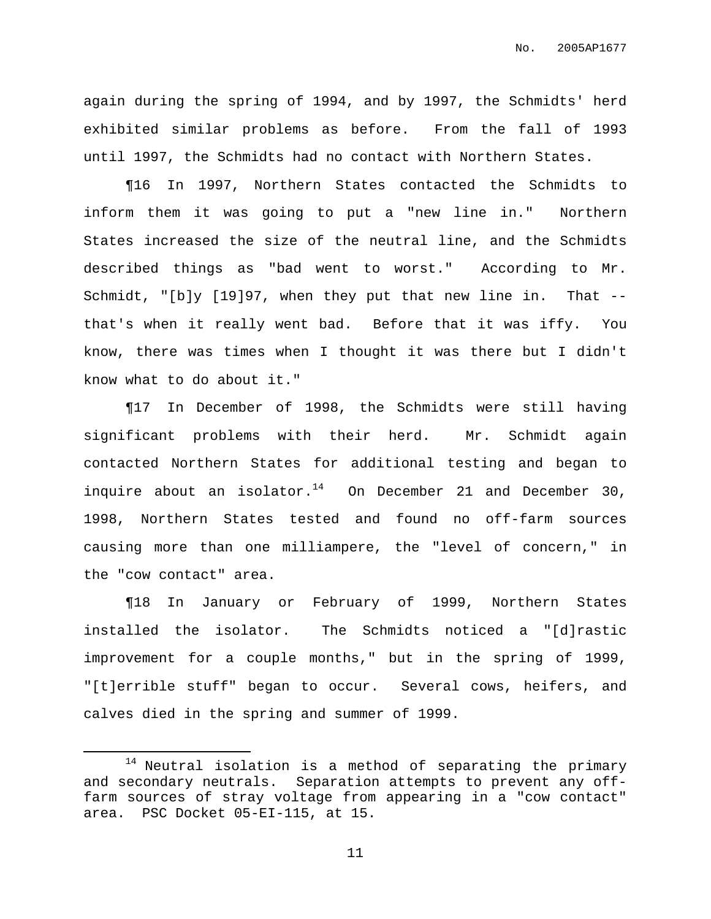again during the spring of 1994, and by 1997, the Schmidts' herd exhibited similar problems as before. From the fall of 1993 until 1997, the Schmidts had no contact with Northern States.

¶16 In 1997, Northern States contacted the Schmidts to inform them it was going to put a "new line in." Northern States increased the size of the neutral line, and the Schmidts described things as "bad went to worst." According to Mr. Schmidt, "[b]y [19]97, when they put that new line in. That - that's when it really went bad. Before that it was iffy. You know, there was times when I thought it was there but I didn't know what to do about it."

¶17 In December of 1998, the Schmidts were still having significant problems with their herd. Mr. Schmidt again contacted Northern States for additional testing and began to inquire about an isolator.<sup>14</sup> On December 21 and December 30, 1998, Northern States tested and found no off-farm sources causing more than one milliampere, the "level of concern," in the "cow contact" area.

¶18 In January or February of 1999, Northern States installed the isolator. The Schmidts noticed a "[d]rastic improvement for a couple months," but in the spring of 1999, "[t]errible stuff" began to occur. Several cows, heifers, and calves died in the spring and summer of 1999.

 $14$  Neutral isolation is a method of separating the primary and secondary neutrals. Separation attempts to prevent any offfarm sources of stray voltage from appearing in a "cow contact" area. PSC Docket 05-EI-115, at 15.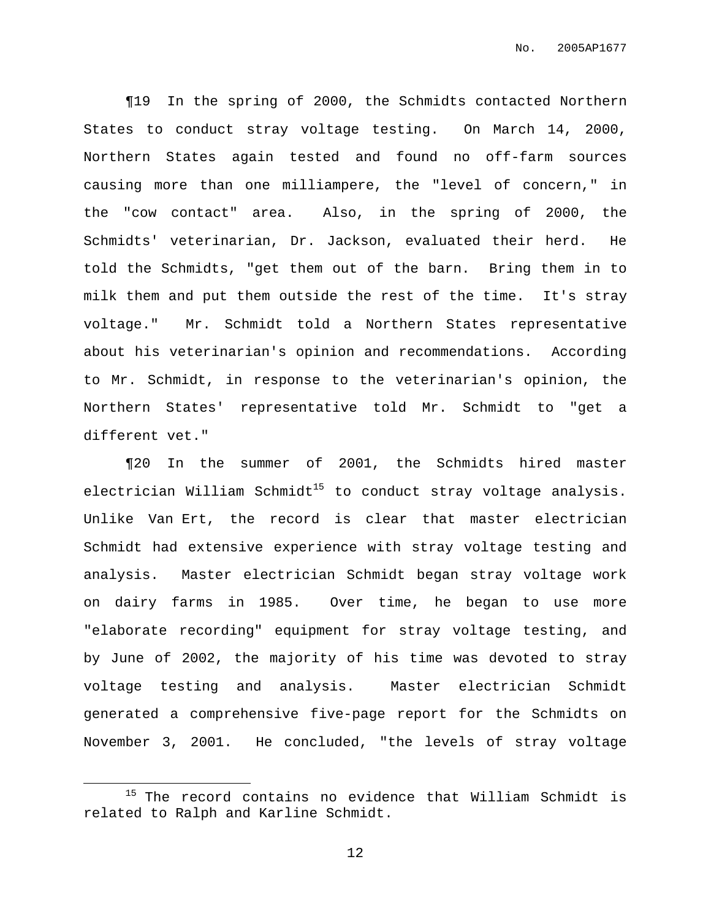¶19 In the spring of 2000, the Schmidts contacted Northern States to conduct stray voltage testing. On March 14, 2000, Northern States again tested and found no off-farm sources causing more than one milliampere, the "level of concern," in the "cow contact" area. Also, in the spring of 2000, the Schmidts' veterinarian, Dr. Jackson, evaluated their herd. He told the Schmidts, "get them out of the barn. Bring them in to milk them and put them outside the rest of the time. It's stray voltage." Mr. Schmidt told a Northern States representative about his veterinarian's opinion and recommendations. According to Mr. Schmidt, in response to the veterinarian's opinion, the Northern States' representative told Mr. Schmidt to "get a different vet."

¶20 In the summer of 2001, the Schmidts hired master electrician William Schmidt<sup>15</sup> to conduct stray voltage analysis. Unlike Van Ert, the record is clear that master electrician Schmidt had extensive experience with stray voltage testing and analysis. Master electrician Schmidt began stray voltage work on dairy farms in 1985. Over time, he began to use more "elaborate recording" equipment for stray voltage testing, and by June of 2002, the majority of his time was devoted to stray voltage testing and analysis. Master electrician Schmidt generated a comprehensive five-page report for the Schmidts on November 3, 2001. He concluded, "the levels of stray voltage

<sup>&</sup>lt;sup>15</sup> The record contains no evidence that William Schmidt is related to Ralph and Karline Schmidt.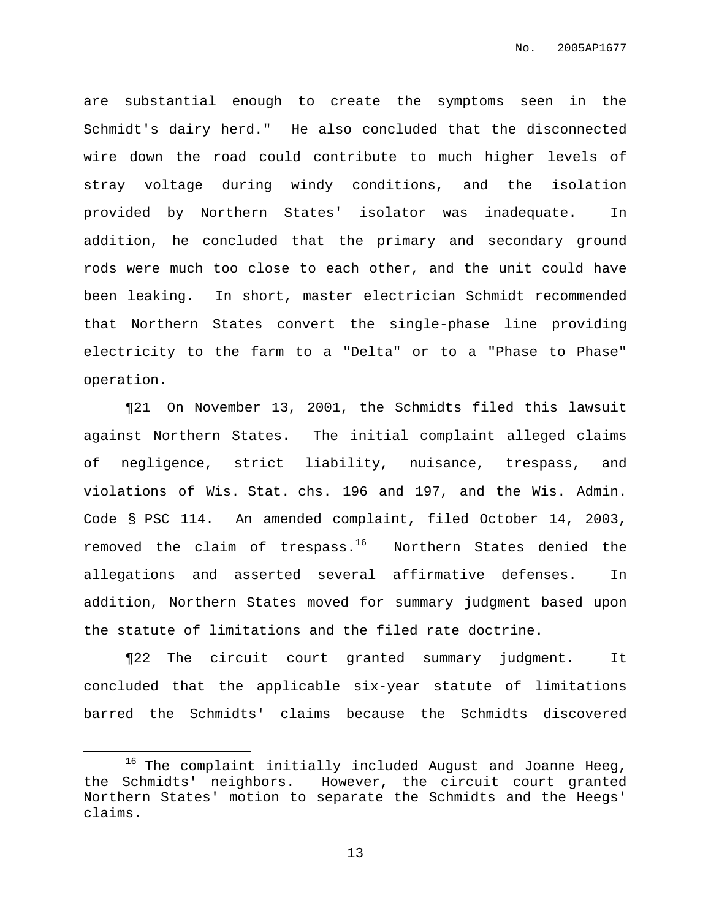are substantial enough to create the symptoms seen in the Schmidt's dairy herd." He also concluded that the disconnected wire down the road could contribute to much higher levels of stray voltage during windy conditions, and the isolation provided by Northern States' isolator was inadequate. In addition, he concluded that the primary and secondary ground rods were much too close to each other, and the unit could have been leaking. In short, master electrician Schmidt recommended that Northern States convert the single-phase line providing electricity to the farm to a "Delta" or to a "Phase to Phase" operation.

¶21 On November 13, 2001, the Schmidts filed this lawsuit against Northern States. The initial complaint alleged claims of negligence, strict liability, nuisance, trespass, and violations of Wis. Stat. chs. 196 and 197, and the Wis. Admin. Code § PSC 114. An amended complaint, filed October 14, 2003, removed the claim of trespass.<sup>16</sup> Northern States denied the allegations and asserted several affirmative defenses. In addition, Northern States moved for summary judgment based upon the statute of limitations and the filed rate doctrine.

¶22 The circuit court granted summary judgment. It concluded that the applicable six-year statute of limitations barred the Schmidts' claims because the Schmidts discovered

 $16$  The complaint initially included August and Joanne Heeg, the Schmidts' neighbors. However, the circuit court granted Northern States' motion to separate the Schmidts and the Heegs' claims.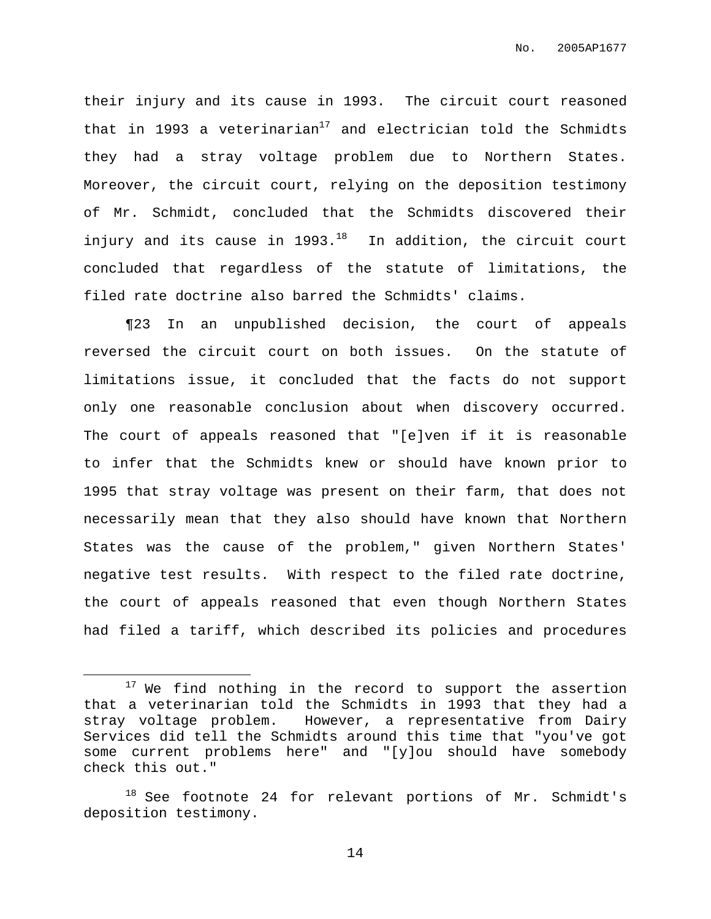their injury and its cause in 1993. The circuit court reasoned that in 1993 a veterinarian<sup>17</sup> and electrician told the Schmidts they had a stray voltage problem due to Northern States. Moreover, the circuit court, relying on the deposition testimony of Mr. Schmidt, concluded that the Schmidts discovered their injury and its cause in 1993. <sup>18</sup> In addition, the circuit court concluded that regardless of the statute of limitations, the filed rate doctrine also barred the Schmidts' claims.

¶23 In an unpublished decision, the court of appeals reversed the circuit court on both issues. On the statute of limitations issue, it concluded that the facts do not support only one reasonable conclusion about when discovery occurred. The court of appeals reasoned that "[e]ven if it is reasonable to infer that the Schmidts knew or should have known prior to 1995 that stray voltage was present on their farm, that does not necessarily mean that they also should have known that Northern States was the cause of the problem," given Northern States' negative test results. With respect to the filed rate doctrine, the court of appeals reasoned that even though Northern States had filed a tariff, which described its policies and procedures

 $17$  We find nothing in the record to support the assertion that a veterinarian told the Schmidts in 1993 that they had a stray voltage problem. However, a representative from Dairy Services did tell the Schmidts around this time that "you've got some current problems here" and "[y]ou should have somebody check this out."

<sup>&</sup>lt;sup>18</sup> See footnote 24 for relevant portions of Mr. Schmidt's deposition testimony.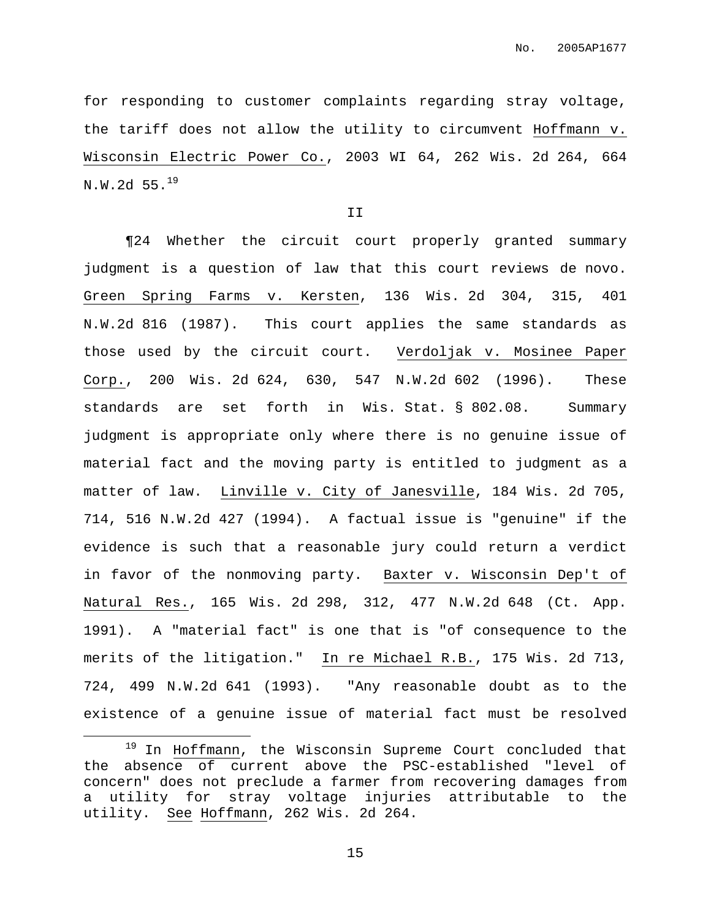for responding to customer complaints regarding stray voltage, the tariff does not allow the utility to circumvent Hoffmann v. Wisconsin Electric Power Co., 2003 WI 64, 262 Wis. 2d 264, 664  $N.W.2d 55.^{19}$ 

II

¶24 Whether the circuit court properly granted summary judgment is a question of law that this court reviews de novo. Green Spring Farms v. Kersten, 136 Wis. 2d 304, 315, 401 N.W.2d 816 (1987). This court applies the same standards as those used by the circuit court. Verdoljak v. Mosinee Paper Corp., 200 Wis. 2d 624, 630, 547 N.W.2d 602 (1996). These standards are set forth in Wis. Stat. § 802.08. Summary judgment is appropriate only where there is no genuine issue of material fact and the moving party is entitled to judgment as a matter of law. Linville v. City of Janesville, 184 Wis. 2d 705, 714, 516 N.W.2d 427 (1994). A factual issue is "genuine" if the evidence is such that a reasonable jury could return a verdict in favor of the nonmoving party. Baxter v. Wisconsin Dep't of Natural Res., 165 Wis. 2d 298, 312, 477 N.W.2d 648 (Ct. App. 1991). A "material fact" is one that is "of consequence to the merits of the litigation." In re Michael R.B., 175 Wis. 2d 713, 724, 499 N.W.2d 641 (1993). "Any reasonable doubt as to the existence of a genuine issue of material fact must be resolved

<sup>19</sup> In Hoffmann, the Wisconsin Supreme Court concluded that the absence of current above the PSC-established "level of concern" does not preclude a farmer from recovering damages from a utility for stray voltage injuries attributable to the utility. See Hoffmann, 262 Wis. 2d 264.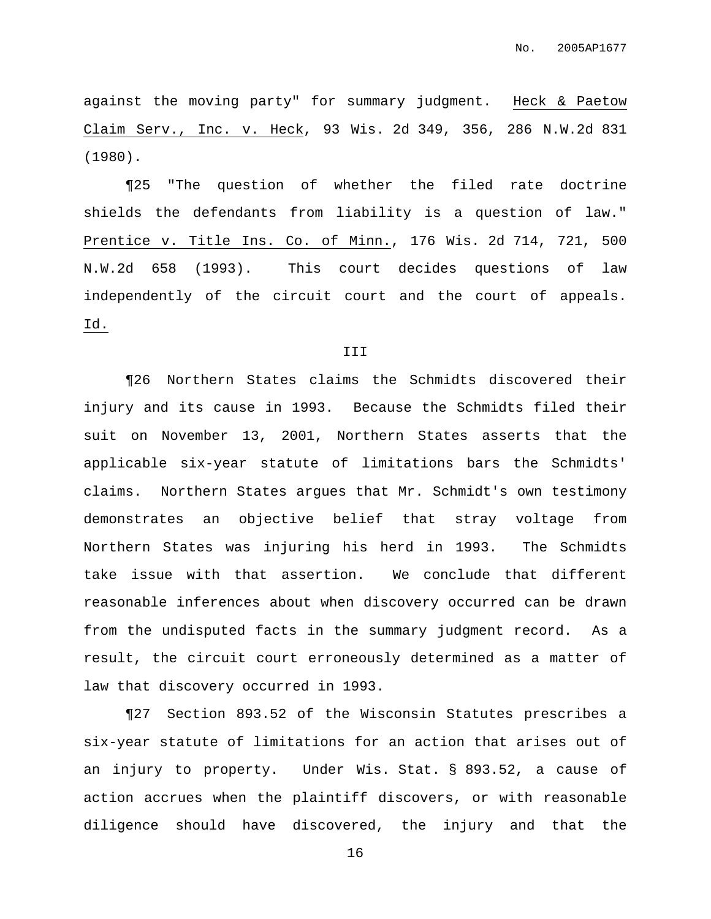against the moving party" for summary judgment. Heck & Paetow Claim Serv., Inc. v. Heck, 93 Wis. 2d 349, 356, 286 N.W.2d 831 (1980).

¶25 "The question of whether the filed rate doctrine shields the defendants from liability is a question of law." Prentice v. Title Ins. Co. of Minn., 176 Wis. 2d 714, 721, 500 N.W.2d 658 (1993). This court decides questions of law independently of the circuit court and the court of appeals. Id.

## III

¶26 Northern States claims the Schmidts discovered their injury and its cause in 1993. Because the Schmidts filed their suit on November 13, 2001, Northern States asserts that the applicable six-year statute of limitations bars the Schmidts' claims. Northern States argues that Mr. Schmidt's own testimony demonstrates an objective belief that stray voltage from Northern States was injuring his herd in 1993. The Schmidts take issue with that assertion. We conclude that different reasonable inferences about when discovery occurred can be drawn from the undisputed facts in the summary judgment record. As a result, the circuit court erroneously determined as a matter of law that discovery occurred in 1993.

¶27 Section 893.52 of the Wisconsin Statutes prescribes a six-year statute of limitations for an action that arises out of an injury to property. Under Wis. Stat. § 893.52, a cause of action accrues when the plaintiff discovers, or with reasonable diligence should have discovered, the injury and that the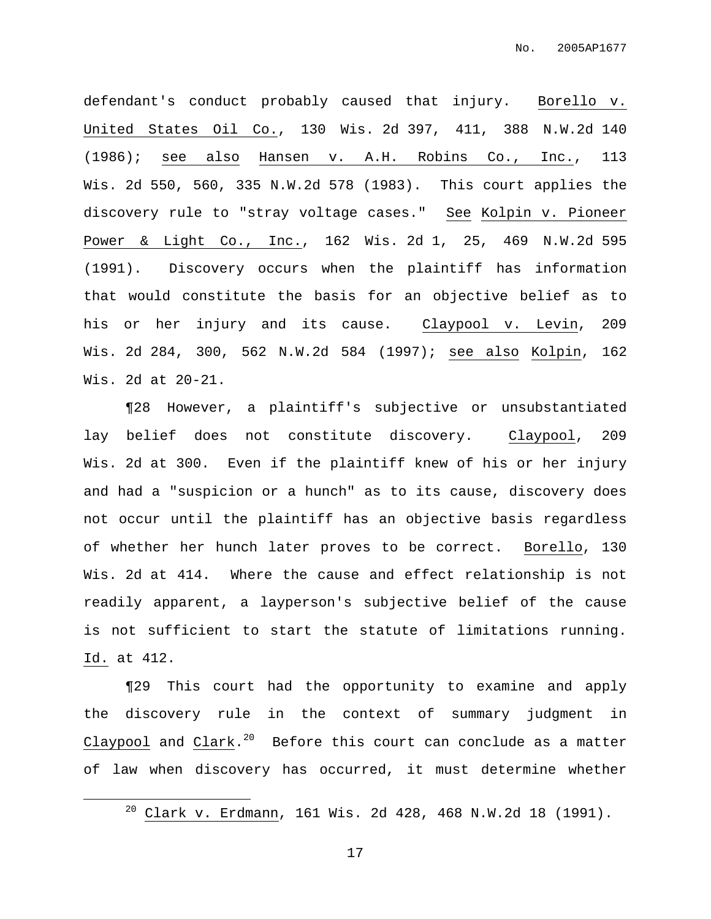defendant's conduct probably caused that injury. Borello v. United States Oil Co., 130 Wis. 2d 397, 411, 388 N.W.2d 140 (1986); see also Hansen v. A.H. Robins Co., Inc., 113 Wis. 2d 550, 560, 335 N.W.2d 578 (1983). This court applies the discovery rule to "stray voltage cases." See Kolpin v. Pioneer Power & Light Co., Inc., 162 Wis. 2d 1, 25, 469 N.W.2d 595 (1991). Discovery occurs when the plaintiff has information that would constitute the basis for an objective belief as to his or her injury and its cause. Claypool v. Levin, 209 Wis. 2d 284, 300, 562 N.W.2d 584 (1997); see also Kolpin, 162 Wis. 2d at 20-21.

¶28 However, a plaintiff's subjective or unsubstantiated lay belief does not constitute discovery. Claypool, 209 Wis. 2d at 300. Even if the plaintiff knew of his or her injury and had a "suspicion or a hunch" as to its cause, discovery does not occur until the plaintiff has an objective basis regardless of whether her hunch later proves to be correct. Borello, 130 Wis. 2d at 414. Where the cause and effect relationship is not readily apparent, a layperson's subjective belief of the cause is not sufficient to start the statute of limitations running. Id. at 412.

¶29 This court had the opportunity to examine and apply the discovery rule in the context of summary judgment in Claypool and Clark. $^\mathrm{20}$  Before this court can conclude as a matter of law when discovery has occurred, it must determine whether

<sup>20</sup> Clark v. Erdmann, 161 Wis. 2d 428, 468 N.W.2d 18 (1991).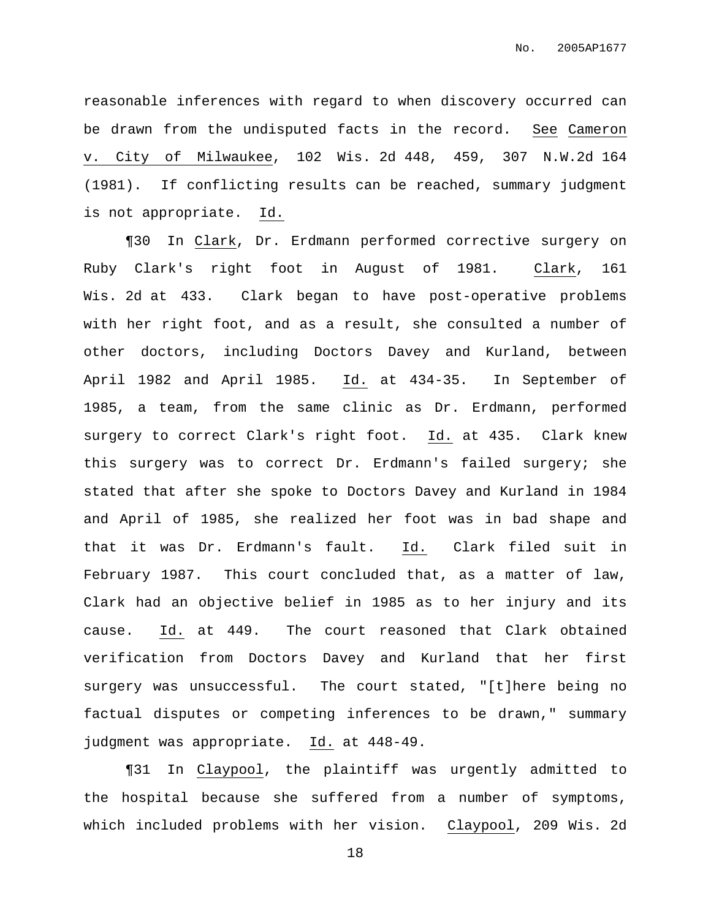reasonable inferences with regard to when discovery occurred can be drawn from the undisputed facts in the record. See Cameron v. City of Milwaukee, 102 Wis. 2d 448, 459, 307 N.W.2d 164 (1981). If conflicting results can be reached, summary judgment is not appropriate. Id.

¶30 In Clark, Dr. Erdmann performed corrective surgery on Ruby Clark's right foot in August of 1981. Clark, 161 Wis. 2d at 433. Clark began to have post-operative problems with her right foot, and as a result, she consulted a number of other doctors, including Doctors Davey and Kurland, between April 1982 and April 1985. Id. at 434-35. In September of 1985, a team, from the same clinic as Dr. Erdmann, performed surgery to correct Clark's right foot. Id. at 435. Clark knew this surgery was to correct Dr. Erdmann's failed surgery; she stated that after she spoke to Doctors Davey and Kurland in 1984 and April of 1985, she realized her foot was in bad shape and that it was Dr. Erdmann's fault. Id. Clark filed suit in February 1987. This court concluded that, as a matter of law, Clark had an objective belief in 1985 as to her injury and its cause. Id. at 449. The court reasoned that Clark obtained verification from Doctors Davey and Kurland that her first surgery was unsuccessful. The court stated, "[t]here being no factual disputes or competing inferences to be drawn," summary judgment was appropriate. Id. at 448-49.

¶31 In Claypool, the plaintiff was urgently admitted to the hospital because she suffered from a number of symptoms, which included problems with her vision. Claypool, 209 Wis. 2d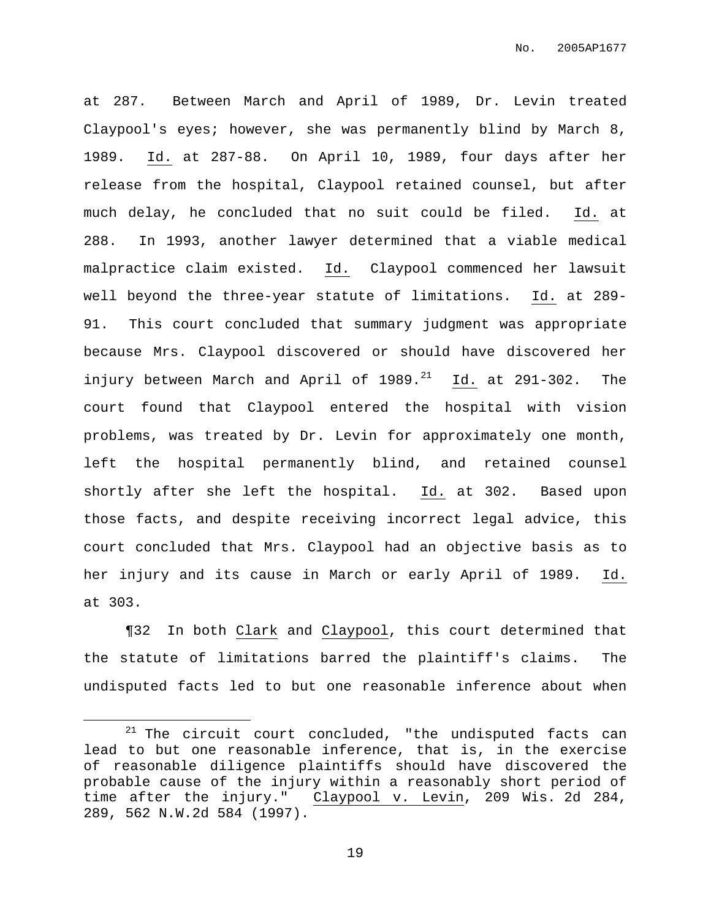at 287. Between March and April of 1989, Dr. Levin treated Claypool's eyes; however, she was permanently blind by March 8, 1989. Id. at 287-88. On April 10, 1989, four days after her release from the hospital, Claypool retained counsel, but after much delay, he concluded that no suit could be filed. Id. at 288. In 1993, another lawyer determined that a viable medical malpractice claim existed. Id. Claypool commenced her lawsuit well beyond the three-year statute of limitations. Id. at 289- 91. This court concluded that summary judgment was appropriate because Mrs. Claypool discovered or should have discovered her injury between March and April of 1989.<sup>21</sup> Id. at 291-302. The court found that Claypool entered the hospital with vision problems, was treated by Dr. Levin for approximately one month, left the hospital permanently blind, and retained counsel shortly after she left the hospital. Id. at 302. Based upon those facts, and despite receiving incorrect legal advice, this court concluded that Mrs. Claypool had an objective basis as to her injury and its cause in March or early April of 1989. Id. at 303.

¶32 In both Clark and Claypool, this court determined that the statute of limitations barred the plaintiff's claims. The undisputed facts led to but one reasonable inference about when

 $21$  The circuit court concluded, "the undisputed facts can lead to but one reasonable inference, that is, in the exercise of reasonable diligence plaintiffs should have discovered the probable cause of the injury within a reasonably short period of time after the injury." Claypool v. Levin, 209 Wis. 2d 284, 289, 562 N.W.2d 584 (1997).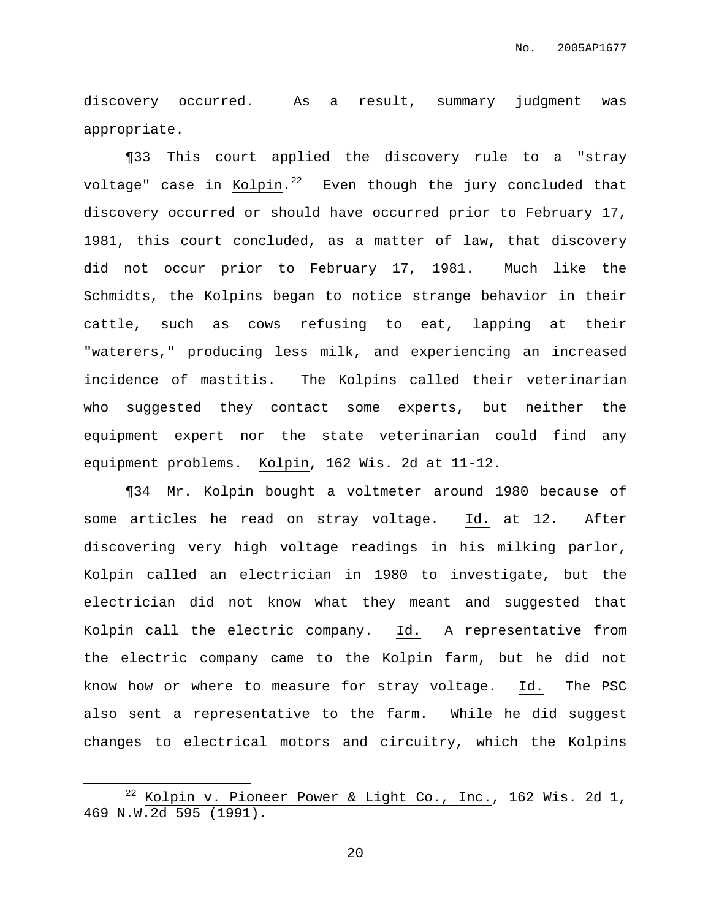discovery occurred. As a result, summary judgment was appropriate.

¶33 This court applied the discovery rule to a "stray voltage" case in Kolpin.<sup>22</sup> Even though the jury concluded that discovery occurred or should have occurred prior to February 17, 1981, this court concluded, as a matter of law, that discovery did not occur prior to February 17, 1981. Much like the Schmidts, the Kolpins began to notice strange behavior in their cattle, such as cows refusing to eat, lapping at their "waterers," producing less milk, and experiencing an increased incidence of mastitis. The Kolpins called their veterinarian who suggested they contact some experts, but neither the equipment expert nor the state veterinarian could find any equipment problems. Kolpin, 162 Wis. 2d at 11-12.

¶34 Mr. Kolpin bought a voltmeter around 1980 because of some articles he read on stray voltage. Id. at 12. After discovering very high voltage readings in his milking parlor, Kolpin called an electrician in 1980 to investigate, but the electrician did not know what they meant and suggested that Kolpin call the electric company. Id. A representative from the electric company came to the Kolpin farm, but he did not know how or where to measure for stray voltage. Id. The PSC also sent a representative to the farm. While he did suggest changes to electrical motors and circuitry, which the Kolpins

 $22$  Kolpin v. Pioneer Power & Light Co., Inc., 162 Wis. 2d 1, 469 N.W.2d 595 (1991).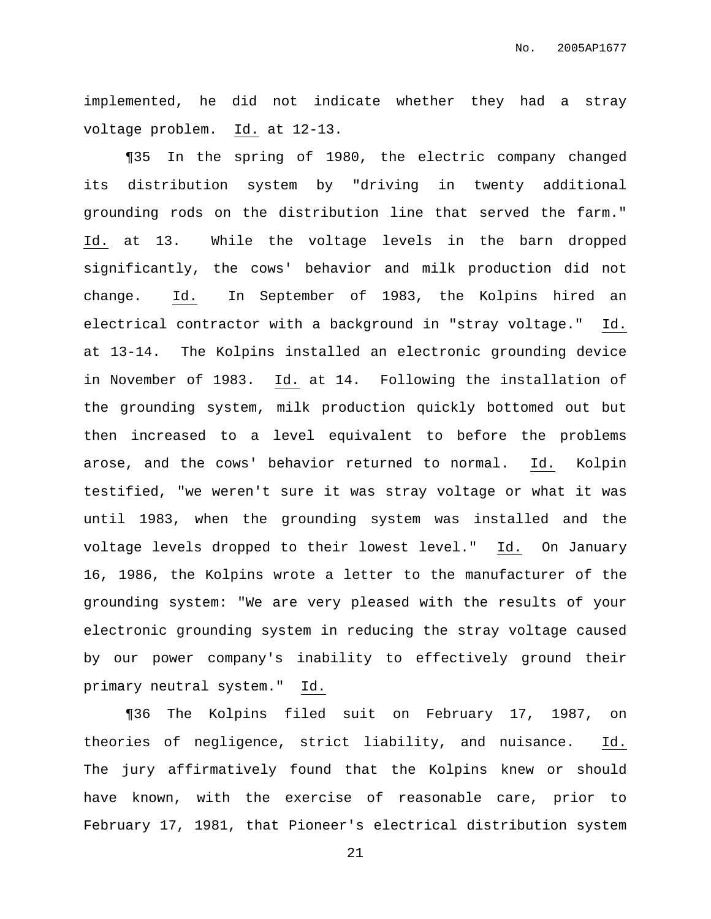implemented, he did not indicate whether they had a stray voltage problem. Id. at 12-13.

¶35 In the spring of 1980, the electric company changed its distribution system by "driving in twenty additional grounding rods on the distribution line that served the farm." Id. at 13. While the voltage levels in the barn dropped significantly, the cows' behavior and milk production did not change. Id. In September of 1983, the Kolpins hired an electrical contractor with a background in "stray voltage." Id. at 13-14. The Kolpins installed an electronic grounding device in November of 1983. Id. at 14. Following the installation of the grounding system, milk production quickly bottomed out but then increased to a level equivalent to before the problems arose, and the cows' behavior returned to normal. Id. Kolpin testified, "we weren't sure it was stray voltage or what it was until 1983, when the grounding system was installed and the voltage levels dropped to their lowest level." Id. On January 16, 1986, the Kolpins wrote a letter to the manufacturer of the grounding system: "We are very pleased with the results of your electronic grounding system in reducing the stray voltage caused by our power company's inability to effectively ground their primary neutral system." Id.

¶36 The Kolpins filed suit on February 17, 1987, on theories of negligence, strict liability, and nuisance. Id. The jury affirmatively found that the Kolpins knew or should have known, with the exercise of reasonable care, prior to February 17, 1981, that Pioneer's electrical distribution system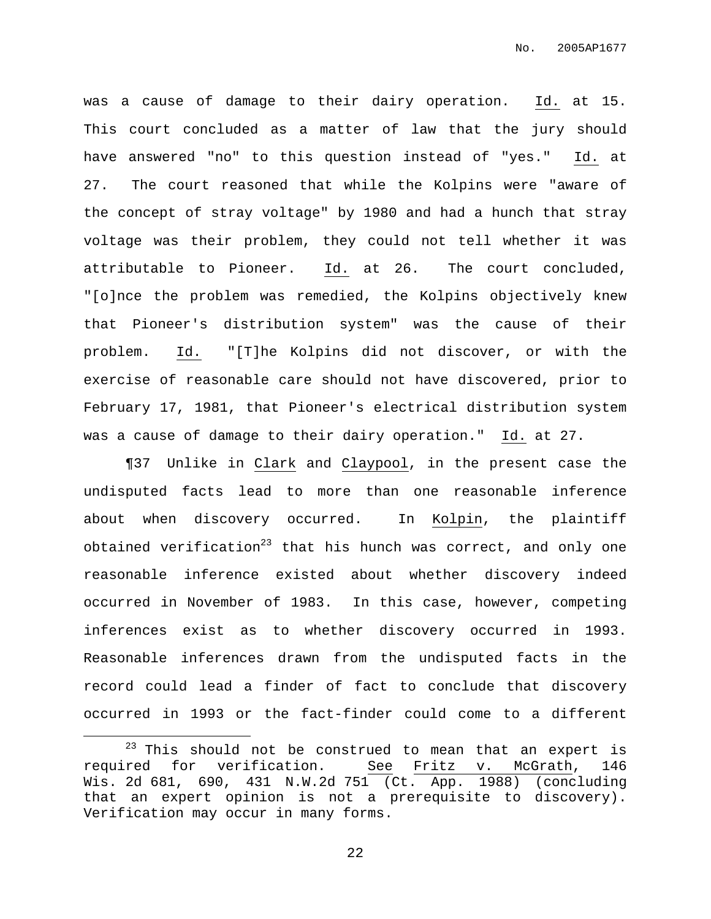was a cause of damage to their dairy operation. Id. at 15. This court concluded as a matter of law that the jury should have answered "no" to this question instead of "yes." Id. at 27. The court reasoned that while the Kolpins were "aware of the concept of stray voltage" by 1980 and had a hunch that stray voltage was their problem, they could not tell whether it was attributable to Pioneer. Id. at 26. The court concluded, "[o]nce the problem was remedied, the Kolpins objectively knew that Pioneer's distribution system" was the cause of their problem. Id. "[T]he Kolpins did not discover, or with the exercise of reasonable care should not have discovered, prior to February 17, 1981, that Pioneer's electrical distribution system was a cause of damage to their dairy operation." Id. at 27.

¶37 Unlike in Clark and Claypool, in the present case the undisputed facts lead to more than one reasonable inference about when discovery occurred. In Kolpin, the plaintiff obtained verification<sup>23</sup> that his hunch was correct, and only one reasonable inference existed about whether discovery indeed occurred in November of 1983. In this case, however, competing inferences exist as to whether discovery occurred in 1993. Reasonable inferences drawn from the undisputed facts in the record could lead a finder of fact to conclude that discovery occurred in 1993 or the fact-finder could come to a different

 $23$  This should not be construed to mean that an expert is required for verification. See Fritz v. McGrath, 146 Wis. 2d 681, 690, 431 N.W.2d 751 (Ct. App. 1988) (concluding that an expert opinion is not a prerequisite to discovery). Verification may occur in many forms.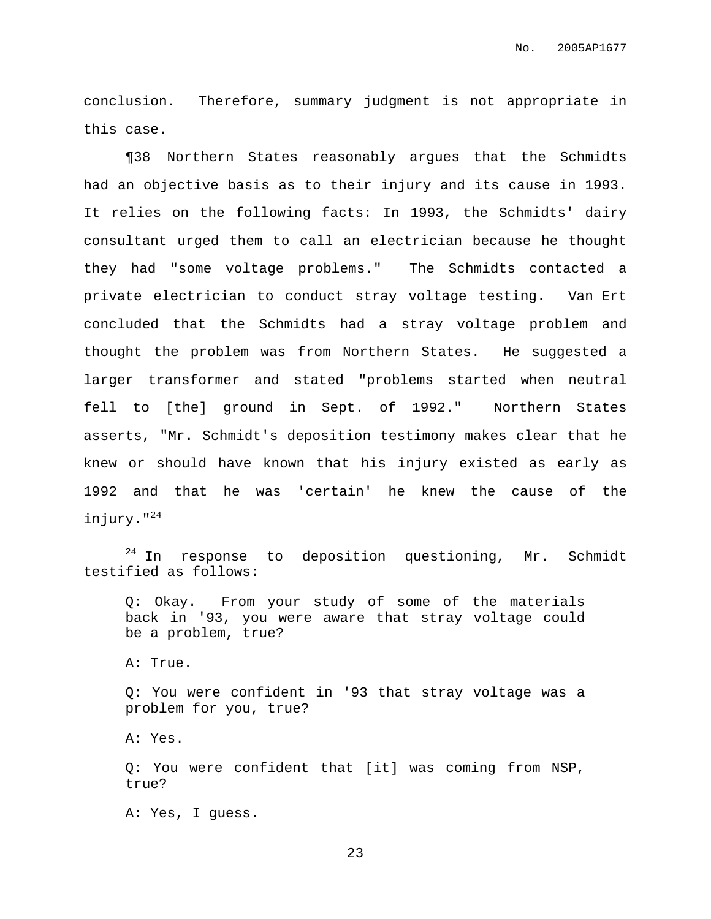conclusion. Therefore, summary judgment is not appropriate in this case.

¶38 Northern States reasonably argues that the Schmidts had an objective basis as to their injury and its cause in 1993. It relies on the following facts: In 1993, the Schmidts' dairy consultant urged them to call an electrician because he thought they had "some voltage problems." The Schmidts contacted a private electrician to conduct stray voltage testing. Van Ert concluded that the Schmidts had a stray voltage problem and thought the problem was from Northern States. He suggested a larger transformer and stated "problems started when neutral fell to [the] ground in Sept. of 1992." Northern States asserts, "Mr. Schmidt's deposition testimony makes clear that he knew or should have known that his injury existed as early as 1992 and that he was 'certain' he knew the cause of the injury." 24

Q: Okay. From your study of some of the materials back in '93, you were aware that stray voltage could be a problem, true?

A: True.

Q: You were confident in '93 that stray voltage was a problem for you, true?

A: Yes.

Q: You were confident that [it] was coming from NSP, true?

A: Yes, I guess.

 $24$  In response to deposition questioning, Mr. Schmidt testified as follows: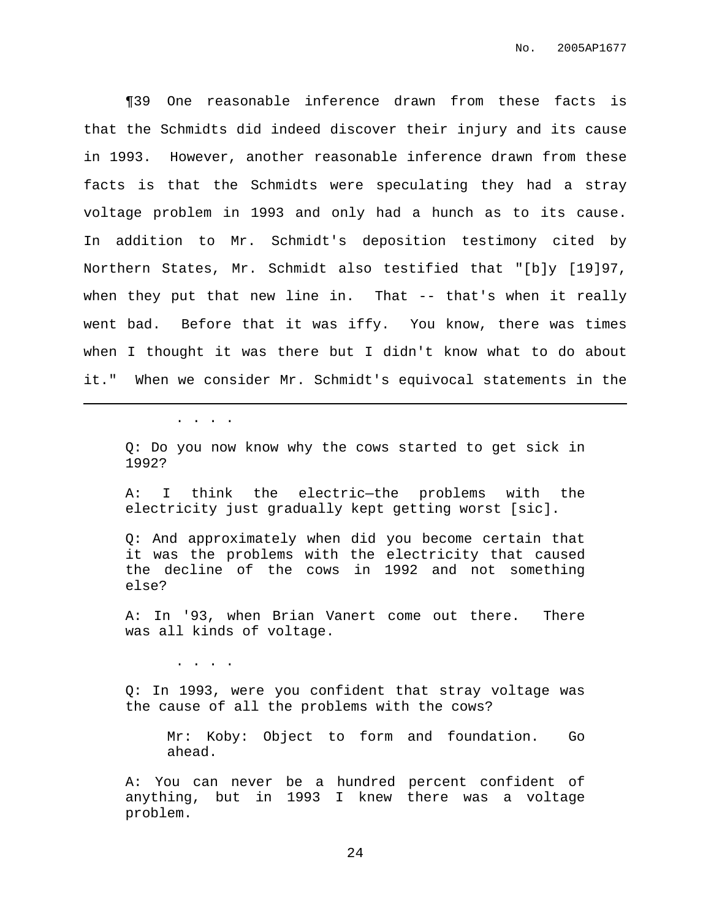¶39 One reasonable inference drawn from these facts is that the Schmidts did indeed discover their injury and its cause in 1993. However, another reasonable inference drawn from these facts is that the Schmidts were speculating they had a stray voltage problem in 1993 and only had a hunch as to its cause. In addition to Mr. Schmidt's deposition testimony cited by Northern States, Mr. Schmidt also testified that "[b]y [19]97, when they put that new line in. That -- that's when it really went bad. Before that it was iffy. You know, there was times when I thought it was there but I didn't know what to do about it." When we consider Mr. Schmidt's equivocal statements in the

. . . .

Q: Do you now know why the cows started to get sick in 1992?

A: I think the electric—the problems with the electricity just gradually kept getting worst [sic].

Q: And approximately when did you become certain that it was the problems with the electricity that caused the decline of the cows in 1992 and not something else?

A: In '93, when Brian Vanert come out there. There was all kinds of voltage.

. . . .

Q: In 1993, were you confident that stray voltage was the cause of all the problems with the cows?

Mr: Koby: Object to form and foundation. Go ahead.

A: You can never be a hundred percent confident of anything, but in 1993 I knew there was a voltage problem.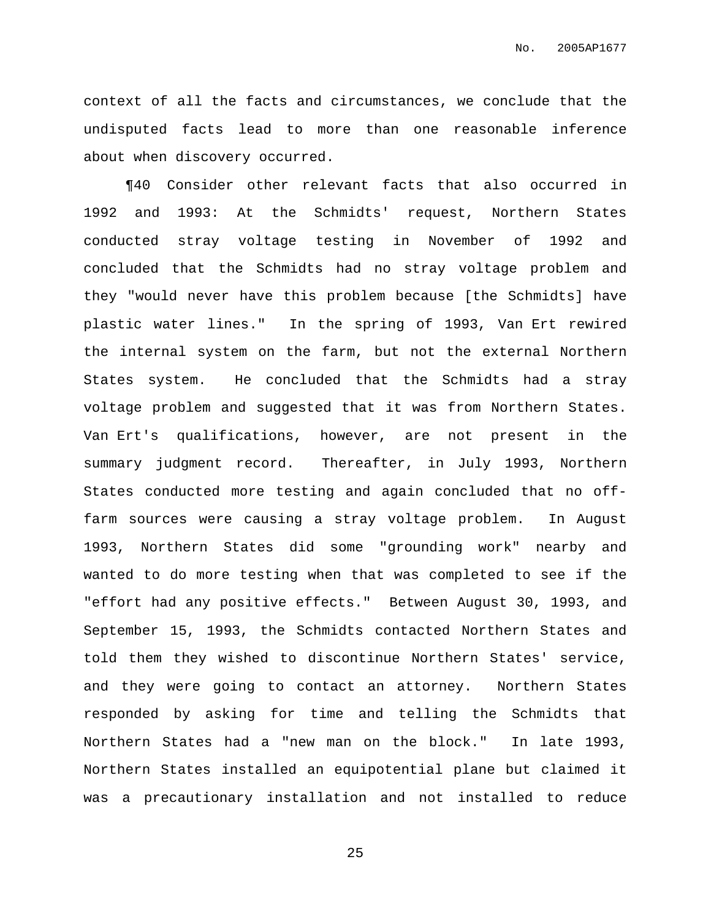context of all the facts and circumstances, we conclude that the undisputed facts lead to more than one reasonable inference about when discovery occurred.

¶40 Consider other relevant facts that also occurred in 1992 and 1993: At the Schmidts' request, Northern States conducted stray voltage testing in November of 1992 and concluded that the Schmidts had no stray voltage problem and they "would never have this problem because [the Schmidts] have plastic water lines." In the spring of 1993, Van Ert rewired the internal system on the farm, but not the external Northern States system. He concluded that the Schmidts had a stray voltage problem and suggested that it was from Northern States. Van Ert's qualifications, however, are not present in the summary judgment record. Thereafter, in July 1993, Northern States conducted more testing and again concluded that no offfarm sources were causing a stray voltage problem. In August 1993, Northern States did some "grounding work" nearby and wanted to do more testing when that was completed to see if the "effort had any positive effects." Between August 30, 1993, and September 15, 1993, the Schmidts contacted Northern States and told them they wished to discontinue Northern States' service, and they were going to contact an attorney. Northern States responded by asking for time and telling the Schmidts that Northern States had a "new man on the block." In late 1993, Northern States installed an equipotential plane but claimed it was a precautionary installation and not installed to reduce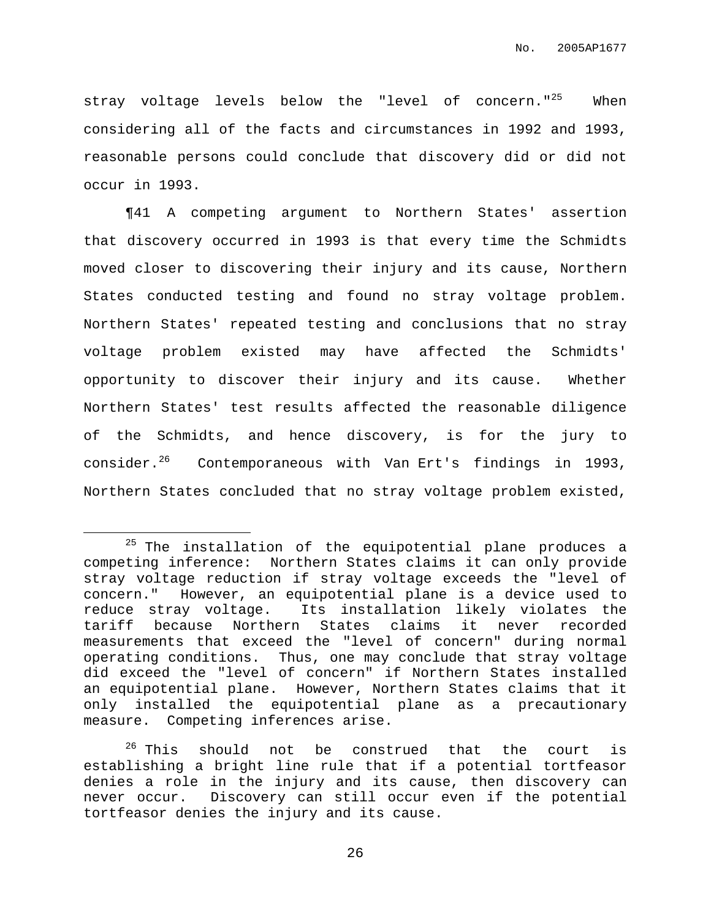stray voltage levels below the "level of concern."<sup>25</sup> When considering all of the facts and circumstances in 1992 and 1993, reasonable persons could conclude that discovery did or did not occur in 1993.

¶41 A competing argument to Northern States' assertion that discovery occurred in 1993 is that every time the Schmidts moved closer to discovering their injury and its cause, Northern States conducted testing and found no stray voltage problem. Northern States' repeated testing and conclusions that no stray voltage problem existed may have affected the Schmidts' opportunity to discover their injury and its cause. Whether Northern States' test results affected the reasonable diligence of the Schmidts, and hence discovery, is for the jury to consider.<sup>26</sup> Contemporaneous with Van Ert's findings in 1993, Northern States concluded that no stray voltage problem existed,

 $25$  The installation of the equipotential plane produces a competing inference: Northern States claims it can only provide stray voltage reduction if stray voltage exceeds the "level of concern." However, an equipotential plane is a device used to reduce stray voltage. Its installation likely violates the tariff because Northern States claims it never recorded measurements that exceed the "level of concern" during normal operating conditions. Thus, one may conclude that stray voltage did exceed the "level of concern" if Northern States installed an equipotential plane. However, Northern States claims that it only installed the equipotential plane as a precautionary measure. Competing inferences arise.

 $26$  This should not be construed that the court is establishing a bright line rule that if a potential tortfeasor denies a role in the injury and its cause, then discovery can never occur. Discovery can still occur even if the potential tortfeasor denies the injury and its cause.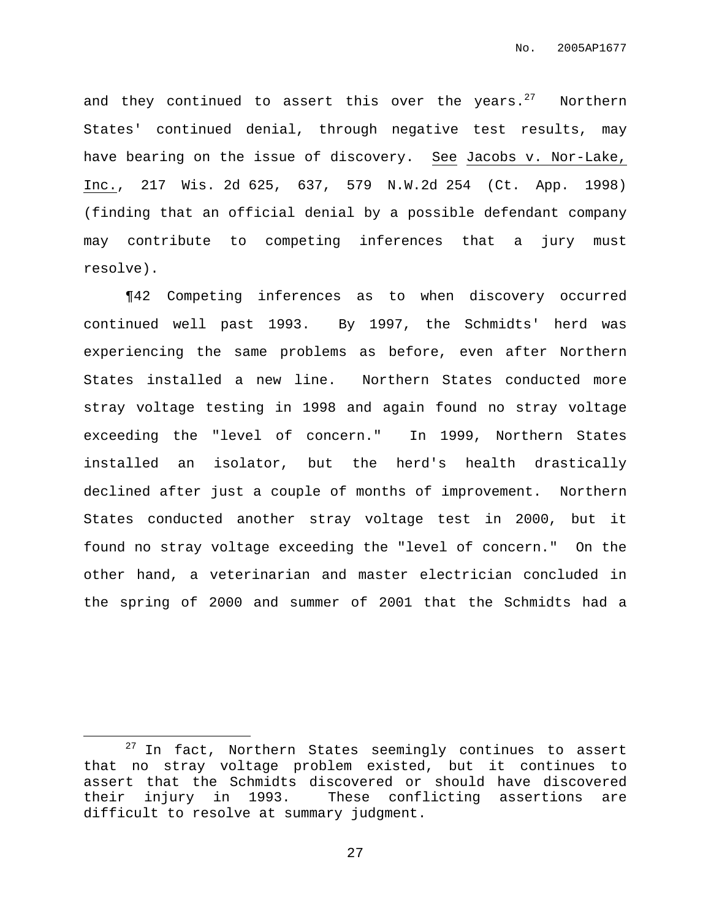and they continued to assert this over the years. $^{27}$  Northern States' continued denial, through negative test results, may have bearing on the issue of discovery. See Jacobs v. Nor-Lake, Inc., 217 Wis. 2d 625, 637, 579 N.W.2d 254 (Ct. App. 1998) (finding that an official denial by a possible defendant company may contribute to competing inferences that a jury must resolve).

¶42 Competing inferences as to when discovery occurred continued well past 1993. By 1997, the Schmidts' herd was experiencing the same problems as before, even after Northern States installed a new line. Northern States conducted more stray voltage testing in 1998 and again found no stray voltage exceeding the "level of concern." In 1999, Northern States installed an isolator, but the herd's health drastically declined after just a couple of months of improvement. Northern States conducted another stray voltage test in 2000, but it found no stray voltage exceeding the "level of concern." On the other hand, a veterinarian and master electrician concluded in the spring of 2000 and summer of 2001 that the Schmidts had a

<sup>&</sup>lt;sup>27</sup> In fact, Northern States seemingly continues to assert that no stray voltage problem existed, but it continues to assert that the Schmidts discovered or should have discovered their injury in 1993. These conflicting assertions are difficult to resolve at summary judgment.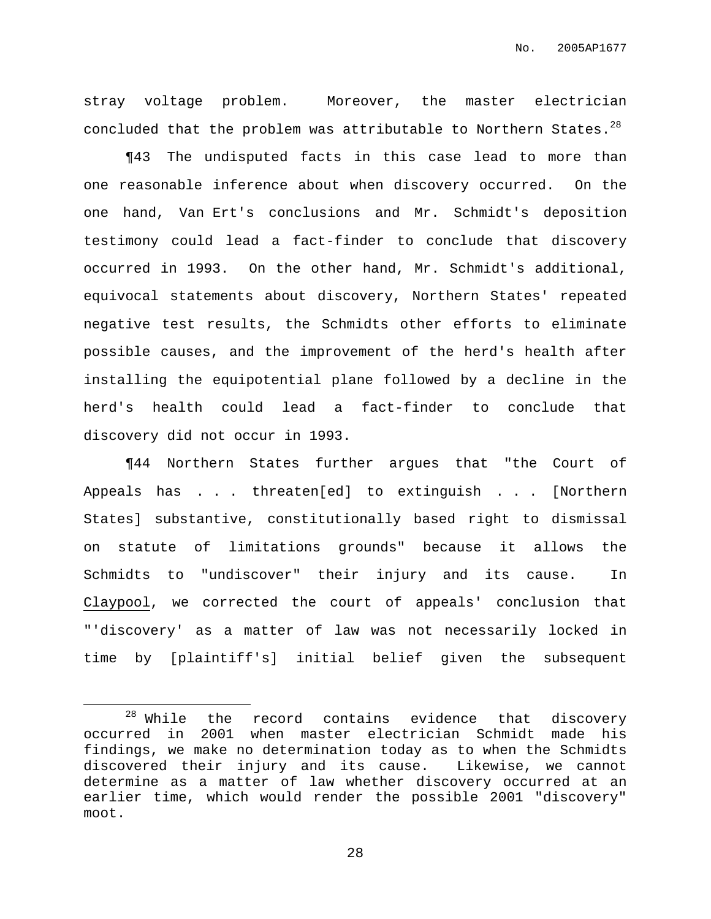stray voltage problem. Moreover, the master electrician concluded that the problem was attributable to Northern States. $^{28}$ 

¶43 The undisputed facts in this case lead to more than one reasonable inference about when discovery occurred. On the one hand, Van Ert's conclusions and Mr. Schmidt's deposition testimony could lead a fact-finder to conclude that discovery occurred in 1993. On the other hand, Mr. Schmidt's additional, equivocal statements about discovery, Northern States' repeated negative test results, the Schmidts other efforts to eliminate possible causes, and the improvement of the herd's health after installing the equipotential plane followed by a decline in the herd's health could lead a fact-finder to conclude that discovery did not occur in 1993.

¶44 Northern States further argues that "the Court of Appeals has . . . threaten[ed] to extinguish . . . [Northern States] substantive, constitutionally based right to dismissal on statute of limitations grounds" because it allows the Schmidts to "undiscover" their injury and its cause. In Claypool, we corrected the court of appeals' conclusion that "'discovery' as a matter of law was not necessarily locked in time by [plaintiff's] initial belief given the subsequent

 $28$  While the record contains evidence that discovery occurred in 2001 when master electrician Schmidt made his findings, we make no determination today as to when the Schmidts discovered their injury and its cause. Likewise, we cannot determine as a matter of law whether discovery occurred at an earlier time, which would render the possible 2001 "discovery" moot.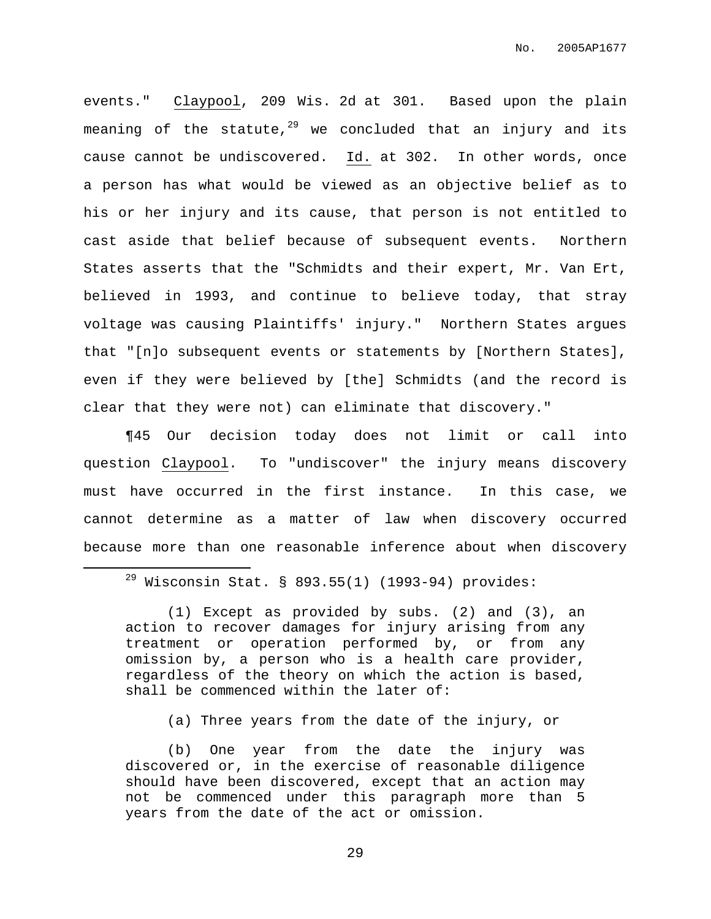events." Claypool, 209 Wis. 2d at 301. Based upon the plain meaning of the statute, $^{29}$  we concluded that an injury and its cause cannot be undiscovered. Id. at 302. In other words, once a person has what would be viewed as an objective belief as to his or her injury and its cause, that person is not entitled to cast aside that belief because of subsequent events. Northern States asserts that the "Schmidts and their expert, Mr. Van Ert, believed in 1993, and continue to believe today, that stray voltage was causing Plaintiffs' injury." Northern States argues that "[n]o subsequent events or statements by [Northern States], even if they were believed by [the] Schmidts (and the record is clear that they were not) can eliminate that discovery."

¶45 Our decision today does not limit or call into question Claypool. To "undiscover" the injury means discovery must have occurred in the first instance. In this case, we cannot determine as a matter of law when discovery occurred because more than one reasonable inference about when discovery

(1) Except as provided by subs. (2) and (3), an action to recover damages for injury arising from any treatment or operation performed by, or from any omission by, a person who is a health care provider, regardless of the theory on which the action is based, shall be commenced within the later of:

(a) Three years from the date of the injury, or

(b) One year from the date the injury was discovered or, in the exercise of reasonable diligence should have been discovered, except that an action may not be commenced under this paragraph more than 5 years from the date of the act or omission.

 $29$  Wisconsin Stat. § 893.55(1) (1993-94) provides: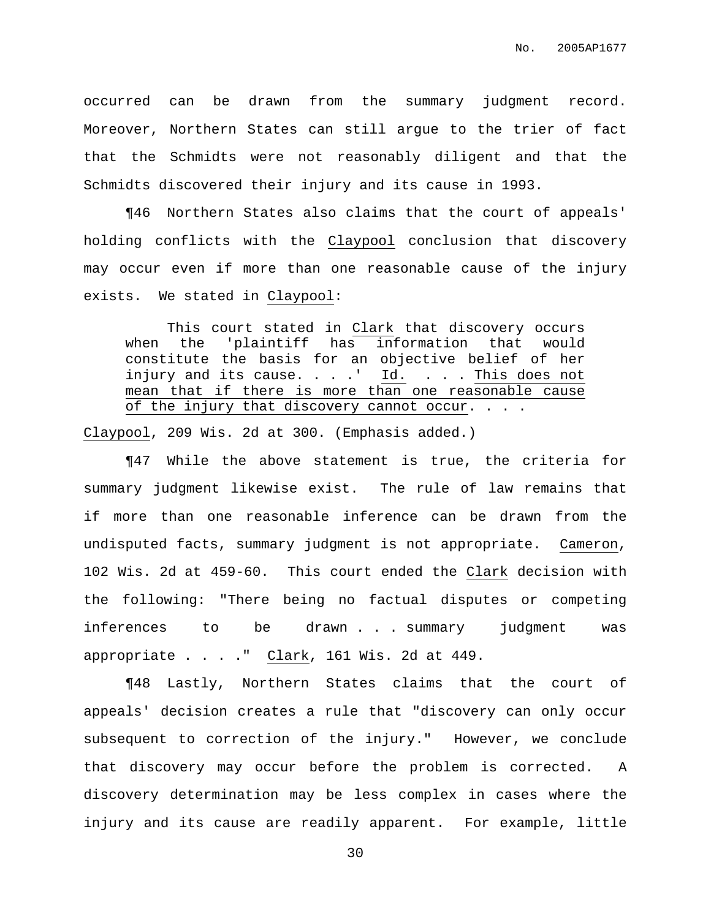occurred can be drawn from the summary judgment record. Moreover, Northern States can still argue to the trier of fact that the Schmidts were not reasonably diligent and that the Schmidts discovered their injury and its cause in 1993.

¶46 Northern States also claims that the court of appeals' holding conflicts with the Claypool conclusion that discovery may occur even if more than one reasonable cause of the injury exists. We stated in Claypool:

This court stated in Clark that discovery occurs when the 'plaintiff has information that would constitute the basis for an objective belief of her injury and its cause. . . .' Id. . . . This does not mean that if there is more than one reasonable cause of the injury that discovery cannot occur. . . .

Claypool, 209 Wis. 2d at 300. (Emphasis added.)

¶47 While the above statement is true, the criteria for summary judgment likewise exist. The rule of law remains that if more than one reasonable inference can be drawn from the undisputed facts, summary judgment is not appropriate. Cameron, 102 Wis. 2d at 459-60. This court ended the Clark decision with the following: "There being no factual disputes or competing inferences to be drawn . . . summary judgment was appropriate . . . ." Clark, 161 Wis. 2d at 449.

¶48 Lastly, Northern States claims that the court of appeals' decision creates a rule that "discovery can only occur subsequent to correction of the injury." However, we conclude that discovery may occur before the problem is corrected. A discovery determination may be less complex in cases where the injury and its cause are readily apparent. For example, little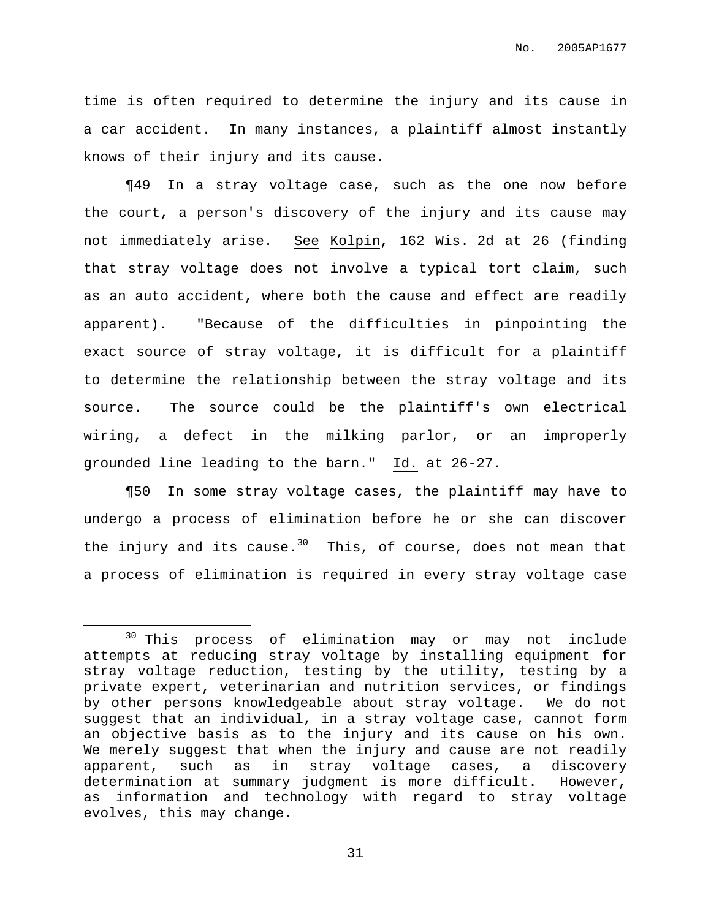No. 2005AP1677

time is often required to determine the injury and its cause in a car accident. In many instances, a plaintiff almost instantly knows of their injury and its cause.

¶49 In a stray voltage case, such as the one now before the court, a person's discovery of the injury and its cause may not immediately arise. See Kolpin, 162 Wis. 2d at 26 (finding that stray voltage does not involve a typical tort claim, such as an auto accident, where both the cause and effect are readily apparent). "Because of the difficulties in pinpointing the exact source of stray voltage, it is difficult for a plaintiff to determine the relationship between the stray voltage and its source. The source could be the plaintiff's own electrical wiring, a defect in the milking parlor, or an improperly grounded line leading to the barn." Id. at 26-27.

¶50 In some stray voltage cases, the plaintiff may have to undergo a process of elimination before he or she can discover the injury and its cause.<sup>30</sup> This, of course, does not mean that a process of elimination is required in every stray voltage case

<sup>&</sup>lt;sup>30</sup> This process of elimination may or may not include attempts at reducing stray voltage by installing equipment for stray voltage reduction, testing by the utility, testing by a private expert, veterinarian and nutrition services, or findings by other persons knowledgeable about stray voltage. We do not suggest that an individual, in a stray voltage case, cannot form an objective basis as to the injury and its cause on his own. We merely suggest that when the injury and cause are not readily apparent, such as in stray voltage cases, a discovery determination at summary judgment is more difficult. However, as information and technology with regard to stray voltage evolves, this may change.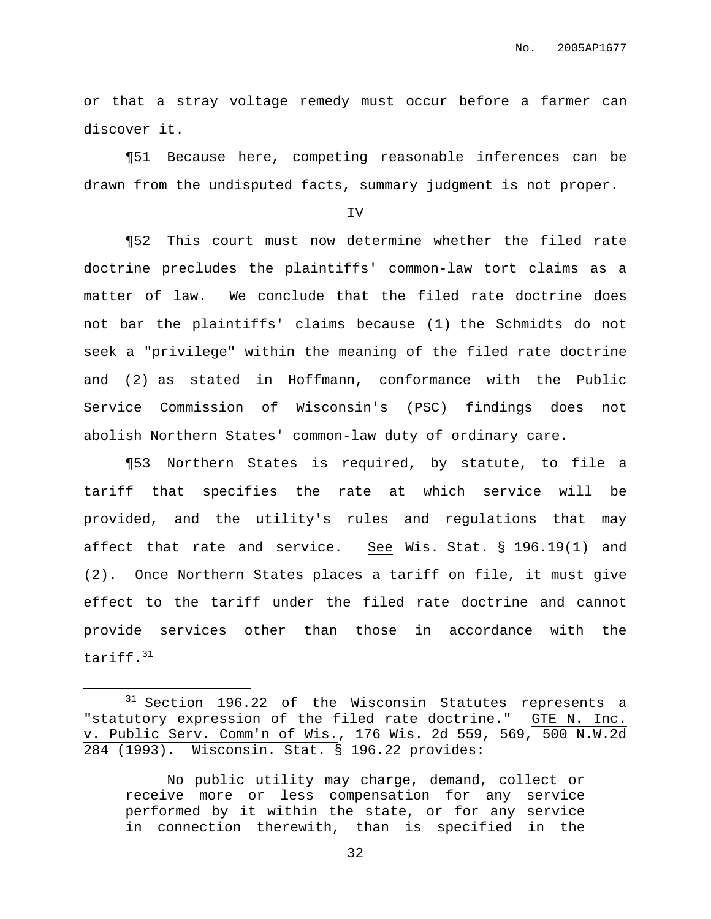No. 2005AP1677

or that a stray voltage remedy must occur before a farmer can discover it.

¶51 Because here, competing reasonable inferences can be drawn from the undisputed facts, summary judgment is not proper.

IV

¶52 This court must now determine whether the filed rate doctrine precludes the plaintiffs' common-law tort claims as a matter of law. We conclude that the filed rate doctrine does not bar the plaintiffs' claims because (1) the Schmidts do not seek a "privilege" within the meaning of the filed rate doctrine and (2) as stated in Hoffmann, conformance with the Public Service Commission of Wisconsin's (PSC) findings does not abolish Northern States' common-law duty of ordinary care.

¶53 Northern States is required, by statute, to file a tariff that specifies the rate at which service will be provided, and the utility's rules and regulations that may affect that rate and service. See Wis. Stat. § 196.19(1) and (2). Once Northern States places a tariff on file, it must give effect to the tariff under the filed rate doctrine and cannot provide services other than those in accordance with the tariff.<sup>31</sup>

 $31$  Section 196.22 of the Wisconsin Statutes represents a "statutory expression of the filed rate doctrine." GTE N. Inc. v. Public Serv. Comm'n of Wis., 176 Wis. 2d 559, 569, 500 N.W.2d 284 (1993). Wisconsin. Stat. § 196.22 provides:

No public utility may charge, demand, collect or receive more or less compensation for any service performed by it within the state, or for any service in connection therewith, than is specified in the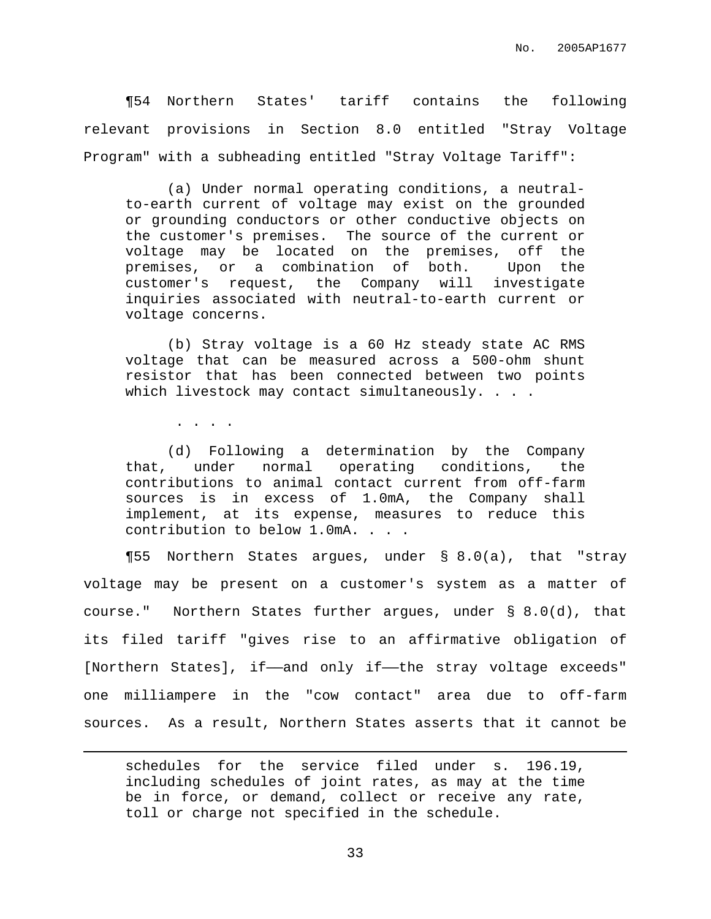¶54 Northern States' tariff contains the following relevant provisions in Section 8.0 entitled "Stray Voltage Program" with a subheading entitled "Stray Voltage Tariff":

(a) Under normal operating conditions, a neutralto-earth current of voltage may exist on the grounded or grounding conductors or other conductive objects on the customer's premises. The source of the current or voltage may be located on the premises, off the premises, or a combination of both. Upon the customer's request, the Company will investigate inquiries associated with neutral-to-earth current or voltage concerns.

(b) Stray voltage is a 60 Hz steady state AC RMS voltage that can be measured across a 500-ohm shunt resistor that has been connected between two points which livestock may contact simultaneously. . . .

. . . .

(d) Following a determination by the Company that, under normal operating conditions, the contributions to animal contact current from off-farm sources is in excess of 1.0mA, the Company shall implement, at its expense, measures to reduce this contribution to below 1.0mA. . . .

¶55 Northern States argues, under § 8.0(a), that "stray voltage may be present on a customer's system as a matter of course." Northern States further argues, under § 8.0(d), that its filed tariff "gives rise to an affirmative obligation of [Northern States], if——and only if——the stray voltage exceeds" one milliampere in the "cow contact" area due to off-farm sources. As a result, Northern States asserts that it cannot be

schedules for the service filed under s. 196.19, including schedules of joint rates, as may at the time be in force, or demand, collect or receive any rate, toll or charge not specified in the schedule.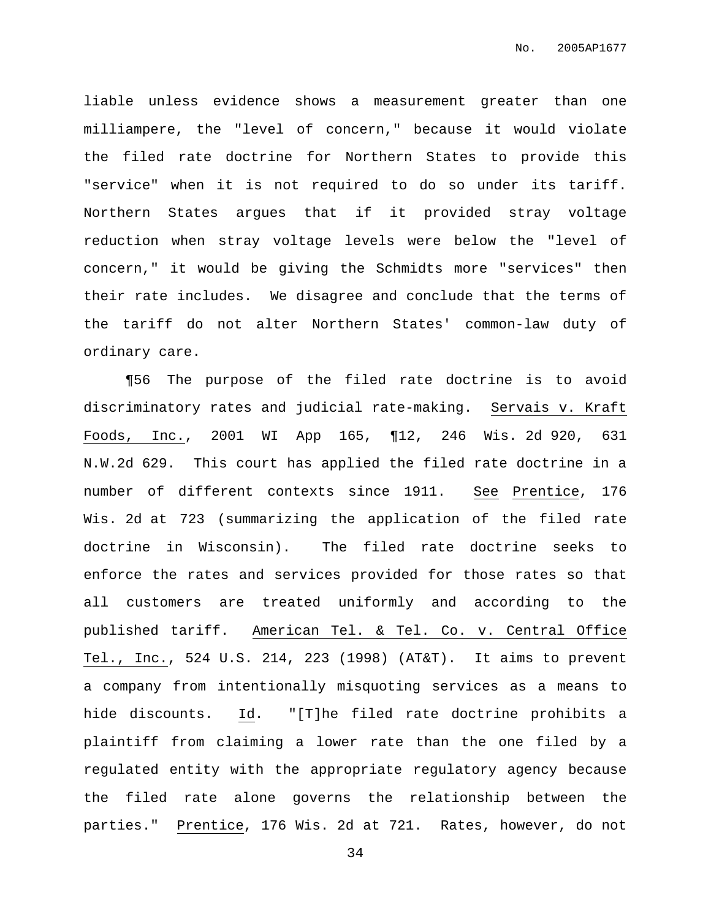liable unless evidence shows a measurement greater than one milliampere, the "level of concern," because it would violate the filed rate doctrine for Northern States to provide this "service" when it is not required to do so under its tariff. Northern States argues that if it provided stray voltage reduction when stray voltage levels were below the "level of concern," it would be giving the Schmidts more "services" then their rate includes. We disagree and conclude that the terms of the tariff do not alter Northern States' common-law duty of ordinary care.

¶56 The purpose of the filed rate doctrine is to avoid discriminatory rates and judicial rate-making. Servais v. Kraft Foods, Inc., 2001 WI App 165, ¶12, 246 Wis. 2d 920, 631 N.W.2d 629. This court has applied the filed rate doctrine in a number of different contexts since 1911. See Prentice, 176 Wis. 2d at 723 (summarizing the application of the filed rate doctrine in Wisconsin). The filed rate doctrine seeks to enforce the rates and services provided for those rates so that all customers are treated uniformly and according to the published tariff. American Tel. & Tel. Co. v. Central Office Tel., Inc., 524 U.S. 214, 223 (1998) (AT&T). It aims to prevent a company from intentionally misquoting services as a means to hide discounts. Id. "[T]he filed rate doctrine prohibits a plaintiff from claiming a lower rate than the one filed by a regulated entity with the appropriate regulatory agency because the filed rate alone governs the relationship between the parties." Prentice, 176 Wis. 2d at 721. Rates, however, do not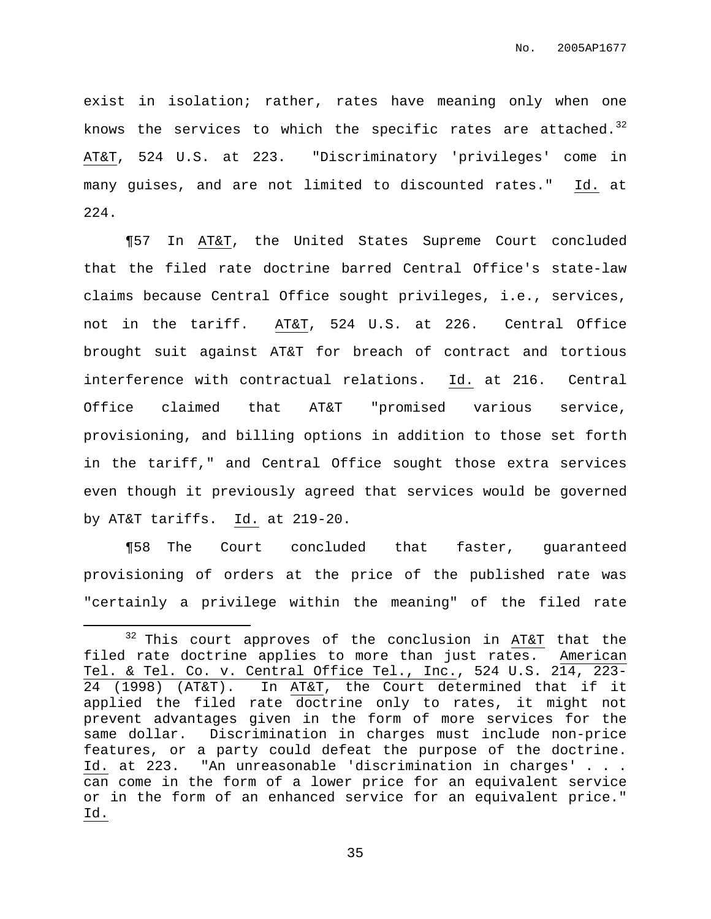exist in isolation; rather, rates have meaning only when one knows the services to which the specific rates are attached. $^{32}$ AT&T, 524 U.S. at 223. "Discriminatory 'privileges' come in many guises, and are not limited to discounted rates." Id. at 224.

¶57 In AT&T, the United States Supreme Court concluded that the filed rate doctrine barred Central Office's state-law claims because Central Office sought privileges, i.e., services, not in the tariff. AT&T, 524 U.S. at 226. Central Office brought suit against AT&T for breach of contract and tortious interference with contractual relations. Id. at 216. Central Office claimed that AT&T "promised various service, provisioning, and billing options in addition to those set forth in the tariff," and Central Office sought those extra services even though it previously agreed that services would be governed by AT&T tariffs. Id. at 219-20.

¶58 The Court concluded that faster, guaranteed provisioning of orders at the price of the published rate was "certainly a privilege within the meaning" of the filed rate

 $32$  This court approves of the conclusion in AT&T that the filed rate doctrine applies to more than just rates. American Tel. & Tel. Co. v. Central Office Tel., Inc., 524 U.S. 214, 223- 24 (1998) (AT&T). In AT&T, the Court determined that if it applied the filed rate doctrine only to rates, it might not prevent advantages given in the form of more services for the same dollar. Discrimination in charges must include non-price features, or a party could defeat the purpose of the doctrine. Id. at 223. "An unreasonable 'discrimination in charges' . . . can come in the form of a lower price for an equivalent service or in the form of an enhanced service for an equivalent price." Id.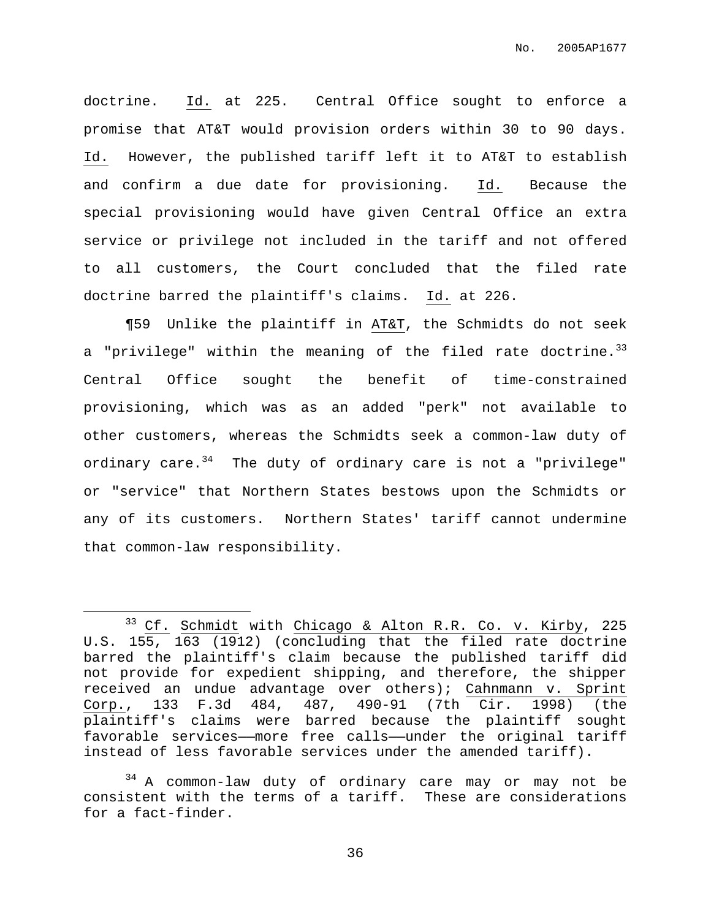doctrine. Id. at 225. Central Office sought to enforce a promise that AT&T would provision orders within 30 to 90 days. Id. However, the published tariff left it to AT&T to establish and confirm a due date for provisioning. Id. Because the special provisioning would have given Central Office an extra service or privilege not included in the tariff and not offered to all customers, the Court concluded that the filed rate doctrine barred the plaintiff's claims. Id. at 226.

¶59 Unlike the plaintiff in AT&T, the Schmidts do not seek a "privilege" within the meaning of the filed rate doctrine.<sup>33</sup> Central Office sought the benefit of time-constrained provisioning, which was as an added "perk" not available to other customers, whereas the Schmidts seek a common-law duty of ordinary care.<sup>34</sup> The duty of ordinary care is not a "privilege" or "service" that Northern States bestows upon the Schmidts or any of its customers. Northern States' tariff cannot undermine that common-law responsibility.

<sup>&</sup>lt;sup>33</sup> Cf. Schmidt with Chicago & Alton R.R. Co. v. Kirby, 225 U.S. 155, 163 (1912) (concluding that the filed rate doctrine barred the plaintiff's claim because the published tariff did not provide for expedient shipping, and therefore, the shipper received an undue advantage over others); Cahnmann v. Sprint Corp., 133 F.3d 484, 487, 490-91 (7th Cir. 1998) (the plaintiff's claims were barred because the plaintiff sought favorable services——more free calls——under the original tariff instead of less favorable services under the amended tariff).

<sup>&</sup>lt;sup>34</sup> A common-law duty of ordinary care may or may not be consistent with the terms of a tariff. These are considerations for a fact-finder.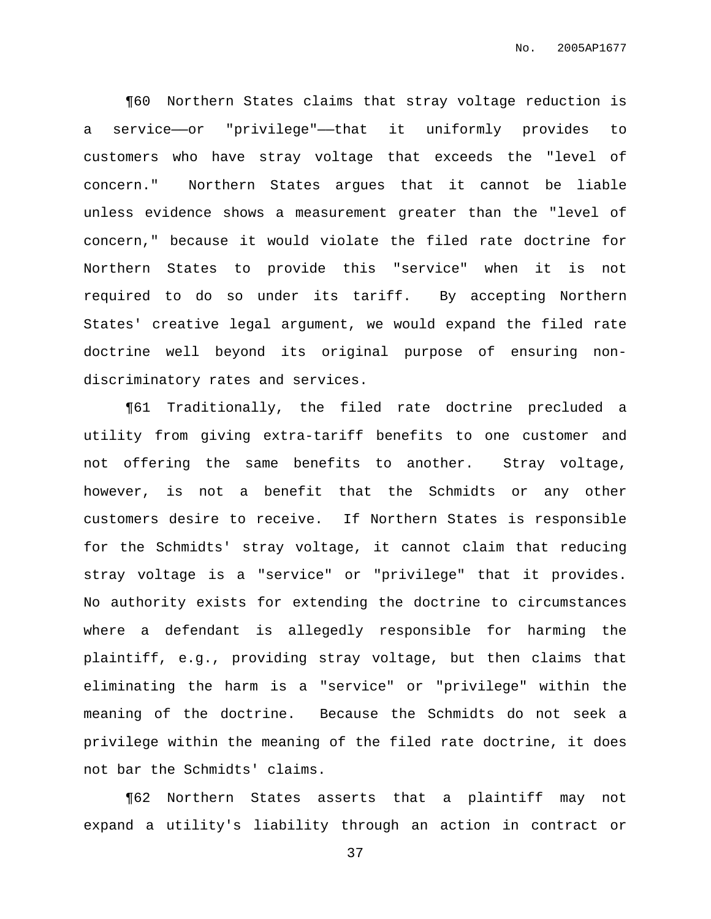¶60 Northern States claims that stray voltage reduction is a service——or "privilege"——that it uniformly provides to customers who have stray voltage that exceeds the "level of concern." Northern States argues that it cannot be liable unless evidence shows a measurement greater than the "level of concern," because it would violate the filed rate doctrine for Northern States to provide this "service" when it is not required to do so under its tariff. By accepting Northern States' creative legal argument, we would expand the filed rate doctrine well beyond its original purpose of ensuring nondiscriminatory rates and services.

¶61 Traditionally, the filed rate doctrine precluded a utility from giving extra-tariff benefits to one customer and not offering the same benefits to another. Stray voltage, however, is not a benefit that the Schmidts or any other customers desire to receive. If Northern States is responsible for the Schmidts' stray voltage, it cannot claim that reducing stray voltage is a "service" or "privilege" that it provides. No authority exists for extending the doctrine to circumstances where a defendant is allegedly responsible for harming the plaintiff, e.g., providing stray voltage, but then claims that eliminating the harm is a "service" or "privilege" within the meaning of the doctrine. Because the Schmidts do not seek a privilege within the meaning of the filed rate doctrine, it does not bar the Schmidts' claims.

¶62 Northern States asserts that a plaintiff may not expand a utility's liability through an action in contract or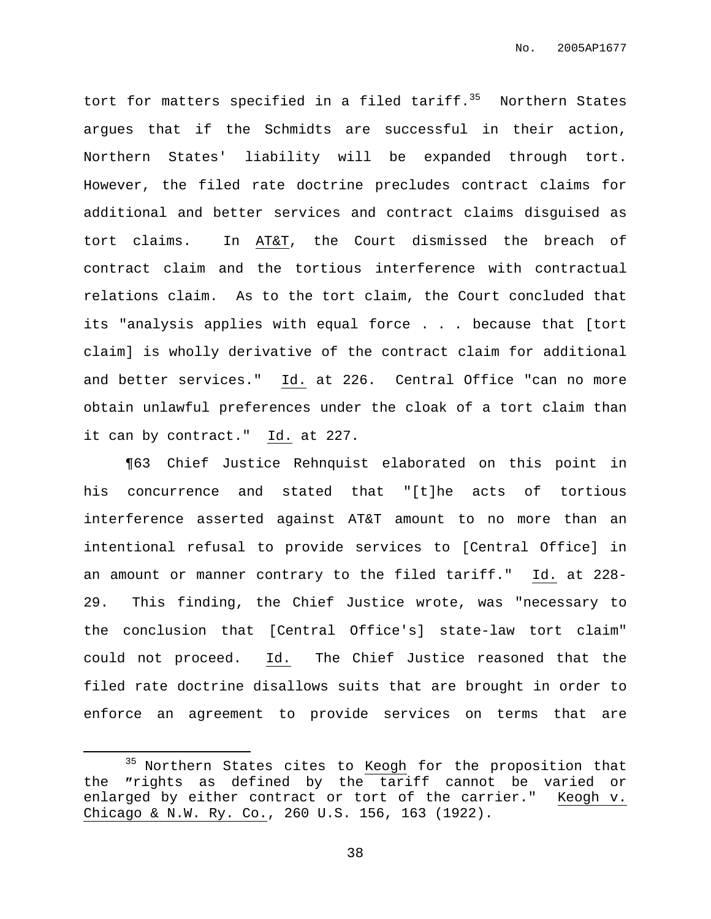tort for matters specified in a filed tariff. <sup>35</sup> Northern States argues that if the Schmidts are successful in their action, Northern States' liability will be expanded through tort. However, the filed rate doctrine precludes contract claims for additional and better services and contract claims disguised as tort claims. In AT&T, the Court dismissed the breach of contract claim and the tortious interference with contractual relations claim. As to the tort claim, the Court concluded that its "analysis applies with equal force . . . because that [tort claim] is wholly derivative of the contract claim for additional and better services." Id. at 226. Central Office "can no more obtain unlawful preferences under the cloak of a tort claim than it can by contract." Id. at 227.

¶63 Chief Justice Rehnquist elaborated on this point in his concurrence and stated that "[t]he acts of tortious interference asserted against AT&T amount to no more than an intentional refusal to provide services to [Central Office] in an amount or manner contrary to the filed tariff." Id. at 228- 29. This finding, the Chief Justice wrote, was "necessary to the conclusion that [Central Office's] state-law tort claim" could not proceed. Id. The Chief Justice reasoned that the filed rate doctrine disallows suits that are brought in order to enforce an agreement to provide services on terms that are

<sup>&</sup>lt;sup>35</sup> Northern States cites to Keogh for the proposition that the "rights as defined by the tariff cannot be varied or enlarged by either contract or tort of the carrier." Keogh v. Chicago & N.W. Ry. Co., 260 U.S. 156, 163 (1922).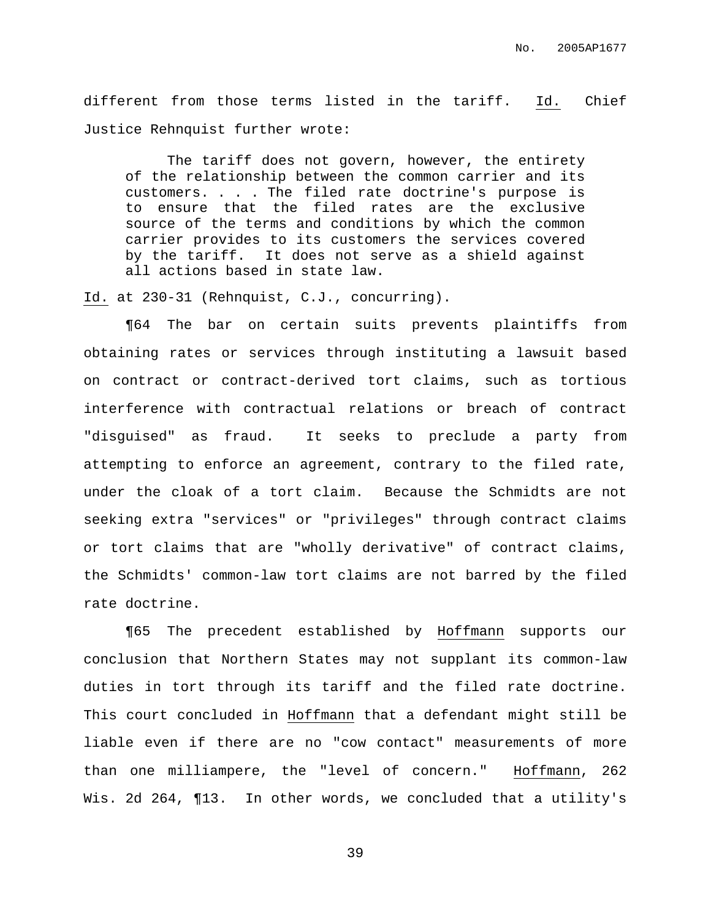different from those terms listed in the tariff. Id. Chief Justice Rehnquist further wrote:

The tariff does not govern, however, the entirety of the relationship between the common carrier and its customers. . . . The filed rate doctrine's purpose is to ensure that the filed rates are the exclusive source of the terms and conditions by which the common carrier provides to its customers the services covered by the tariff. It does not serve as a shield against all actions based in state law.

Id. at 230-31 (Rehnquist, C.J., concurring).

¶64 The bar on certain suits prevents plaintiffs from obtaining rates or services through instituting a lawsuit based on contract or contract-derived tort claims, such as tortious interference with contractual relations or breach of contract "disguised" as fraud. It seeks to preclude a party from attempting to enforce an agreement, contrary to the filed rate, under the cloak of a tort claim. Because the Schmidts are not seeking extra "services" or "privileges" through contract claims or tort claims that are "wholly derivative" of contract claims, the Schmidts' common-law tort claims are not barred by the filed rate doctrine.

¶65 The precedent established by Hoffmann supports our conclusion that Northern States may not supplant its common-law duties in tort through its tariff and the filed rate doctrine. This court concluded in Hoffmann that a defendant might still be liable even if there are no "cow contact" measurements of more than one milliampere, the "level of concern." Hoffmann, 262 Wis. 2d 264, ¶13. In other words, we concluded that a utility's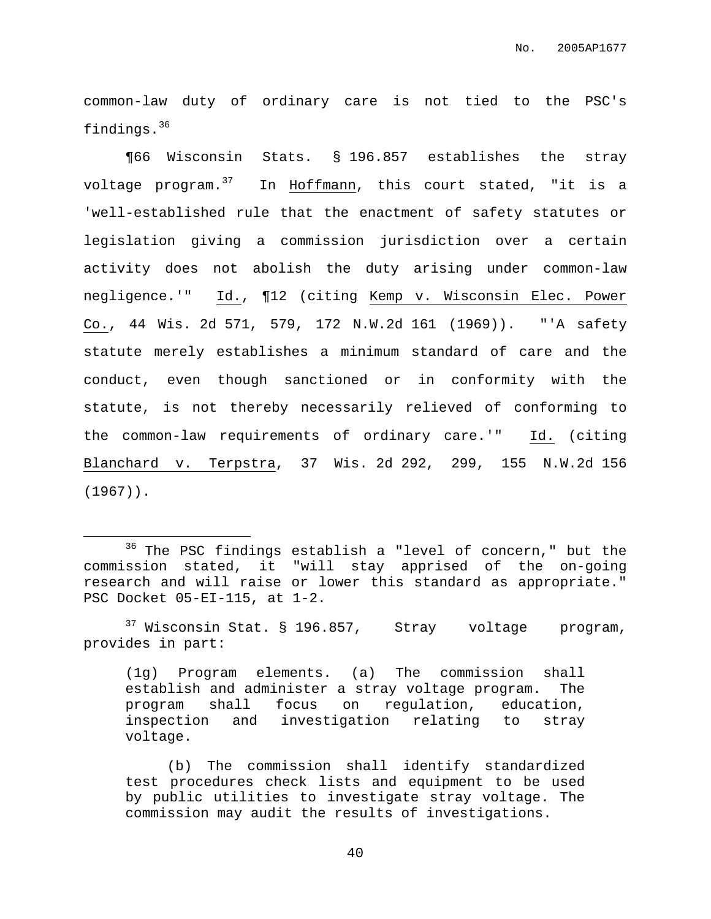common-law duty of ordinary care is not tied to the PSC's findings. 36

¶66 Wisconsin Stats. § 196.857 establishes the stray voltage program. <sup>37</sup> In Hoffmann, this court stated, "it is a 'well-established rule that the enactment of safety statutes or legislation giving a commission jurisdiction over a certain activity does not abolish the duty arising under common-law negligence.'" Id., ¶12 (citing Kemp v. Wisconsin Elec. Power Co., 44 Wis. 2d 571, 579, 172 N.W.2d 161 (1969)). "'A safety statute merely establishes a minimum standard of care and the conduct, even though sanctioned or in conformity with the statute, is not thereby necessarily relieved of conforming to the common-law requirements of ordinary care.'" Id. (citing Blanchard v. Terpstra, 37 Wis. 2d 292, 299, 155 N.W.2d 156 (1967)).

 $37$  Wisconsin Stat. § 196.857, Stray voltage program, provides in part:

(1g) Program elements. (a) The commission shall establish and administer a stray voltage program. The program shall focus on regulation, education, inspection and investigation relating to stray voltage.

(b) The commission shall identify standardized test procedures check lists and equipment to be used by public utilities to investigate stray voltage. The commission may audit the results of investigations.

<sup>&</sup>lt;sup>36</sup> The PSC findings establish a "level of concern," but the commission stated, it "will stay apprised of the on-going research and will raise or lower this standard as appropriate." PSC Docket 05-EI-115, at 1-2.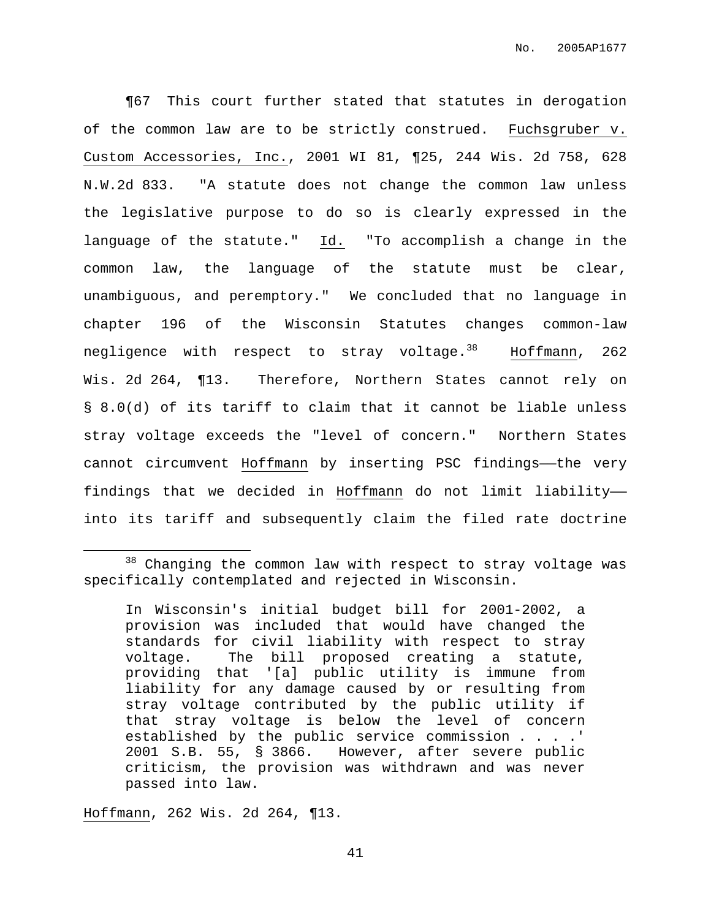¶67 This court further stated that statutes in derogation of the common law are to be strictly construed. Fuchsgruber v. Custom Accessories, Inc., 2001 WI 81, ¶25, 244 Wis. 2d 758, 628 N.W.2d 833. "A statute does not change the common law unless the legislative purpose to do so is clearly expressed in the language of the statute." Id. "To accomplish a change in the common law, the language of the statute must be clear, unambiguous, and peremptory." We concluded that no language in chapter 196 of the Wisconsin Statutes changes common-law negligence with respect to stray voltage.<sup>38</sup> Hoffmann, 262 Wis. 2d 264, ¶13. Therefore, Northern States cannot rely on § 8.0(d) of its tariff to claim that it cannot be liable unless stray voltage exceeds the "level of concern." Northern States cannot circumvent Hoffmann by inserting PSC findings——the very findings that we decided in Hoffmann do not limit liability— into its tariff and subsequently claim the filed rate doctrine

Hoffmann, 262 Wis. 2d 264, ¶13.

 $38$  Changing the common law with respect to stray voltage was specifically contemplated and rejected in Wisconsin.

In Wisconsin's initial budget bill for 2001-2002, a provision was included that would have changed the standards for civil liability with respect to stray voltage. The bill proposed creating a statute, providing that '[a] public utility is immune from liability for any damage caused by or resulting from stray voltage contributed by the public utility if that stray voltage is below the level of concern established by the public service commission . . . .' 2001 S.B. 55, § 3866. However, after severe public criticism, the provision was withdrawn and was never passed into law.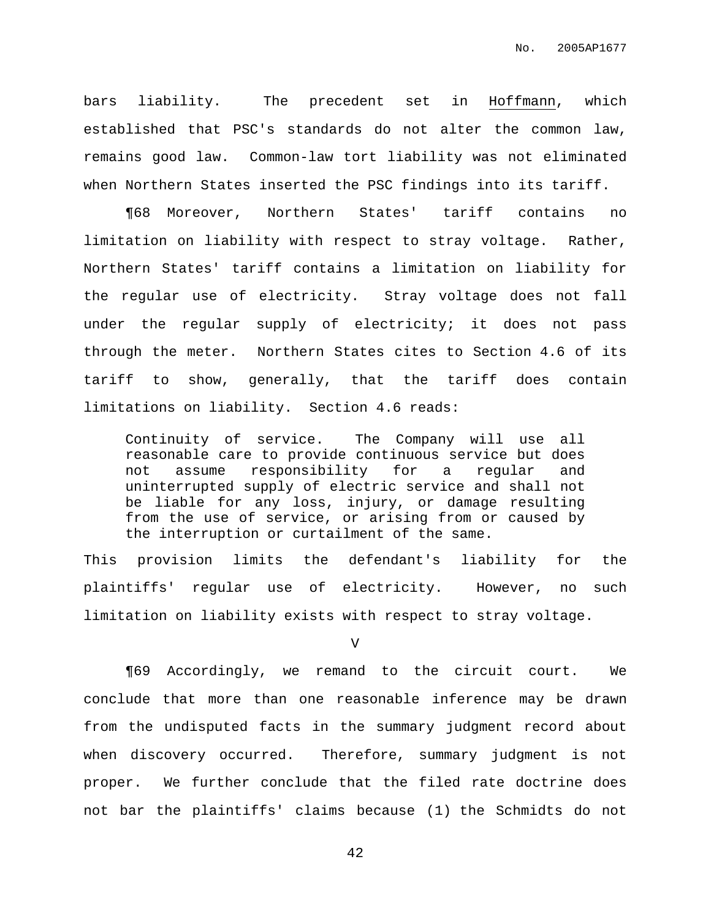bars liability. The precedent set in Hoffmann, which established that PSC's standards do not alter the common law, remains good law. Common-law tort liability was not eliminated when Northern States inserted the PSC findings into its tariff.

¶68 Moreover, Northern States' tariff contains no limitation on liability with respect to stray voltage. Rather, Northern States' tariff contains a limitation on liability for the regular use of electricity. Stray voltage does not fall under the regular supply of electricity; it does not pass through the meter. Northern States cites to Section 4.6 of its tariff to show, generally, that the tariff does contain limitations on liability. Section 4.6 reads:

Continuity of service. The Company will use all reasonable care to provide continuous service but does not assume responsibility for a regular and uninterrupted supply of electric service and shall not be liable for any loss, injury, or damage resulting from the use of service, or arising from or caused by the interruption or curtailment of the same.

This provision limits the defendant's liability for the plaintiffs' regular use of electricity. However, no such limitation on liability exists with respect to stray voltage.

V

¶69 Accordingly, we remand to the circuit court. We conclude that more than one reasonable inference may be drawn from the undisputed facts in the summary judgment record about when discovery occurred. Therefore, summary judgment is not proper. We further conclude that the filed rate doctrine does not bar the plaintiffs' claims because (1) the Schmidts do not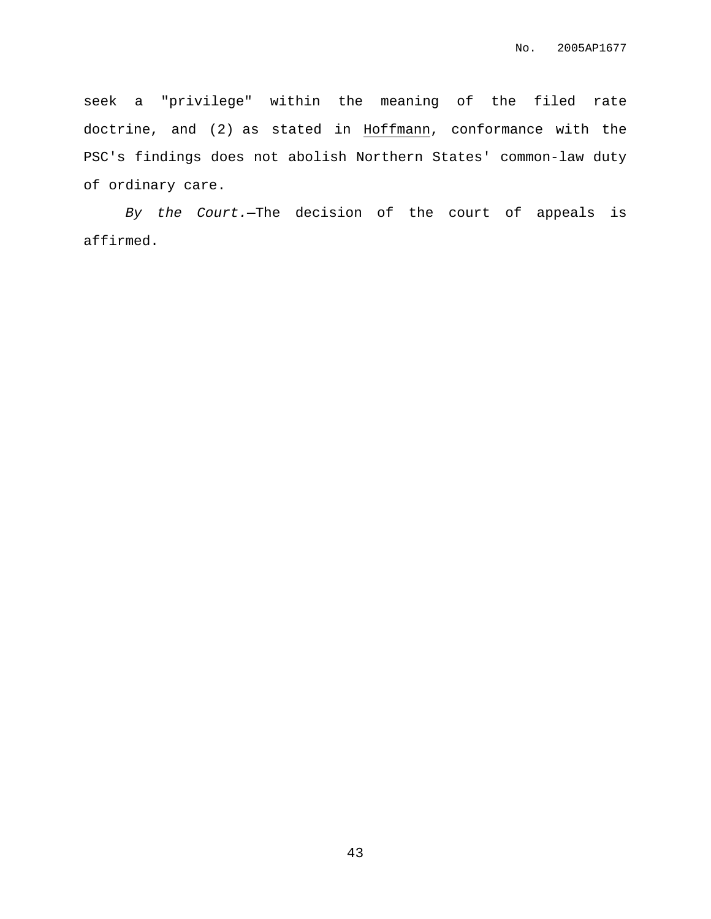seek a "privilege" within the meaning of the filed rate doctrine, and (2) as stated in Hoffmann, conformance with the PSC's findings does not abolish Northern States' common-law duty of ordinary care.

By the Court.—The decision of the court of appeals is affirmed.